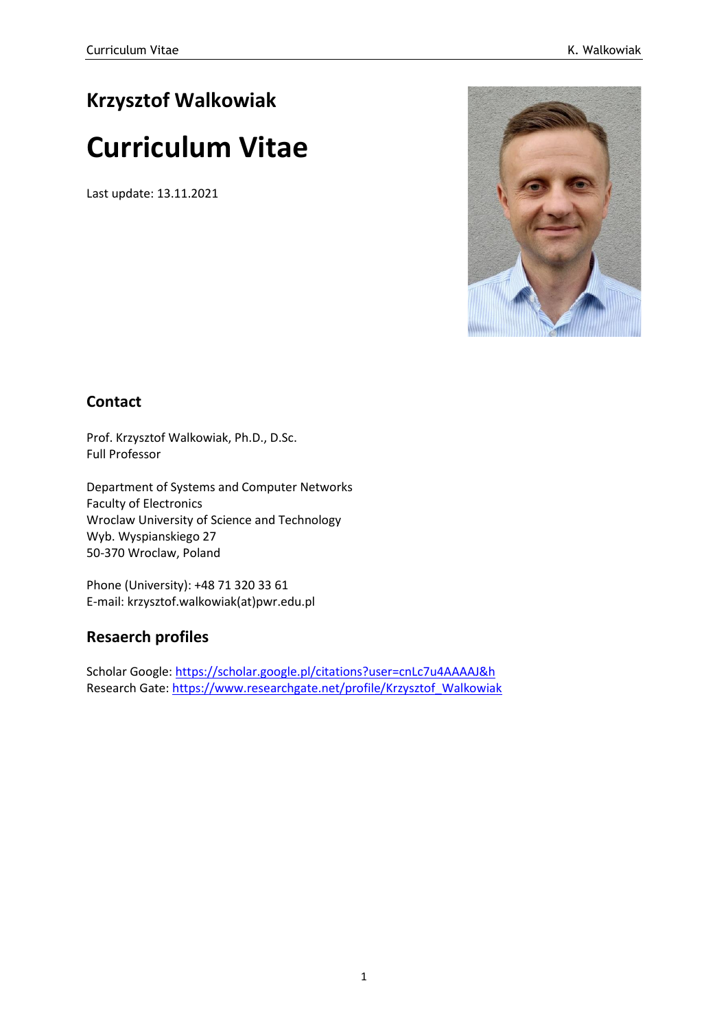# **Krzysztof Walkowiak**

# **Curriculum Vitae**

Last update: 13.11.2021



### **Contact**

Prof. Krzysztof Walkowiak, Ph.D., D.Sc. Full Professor

Department of Systems and Computer Networks Faculty of Electronics Wroclaw University of Science and Technology Wyb. Wyspianskiego 27 50-370 Wroclaw, Poland

Phone (University): +48 71 320 33 61 E-mail: krzysztof.walkowiak(at)pwr.edu.pl

### **Resaerch profiles**

Scholar Google:<https://scholar.google.pl/citations?user=cnLc7u4AAAAJ&h> Research Gate: [https://www.researchgate.net/profile/Krzysztof\\_Walkowiak](https://www.researchgate.net/profile/Krzysztof_Walkowiak)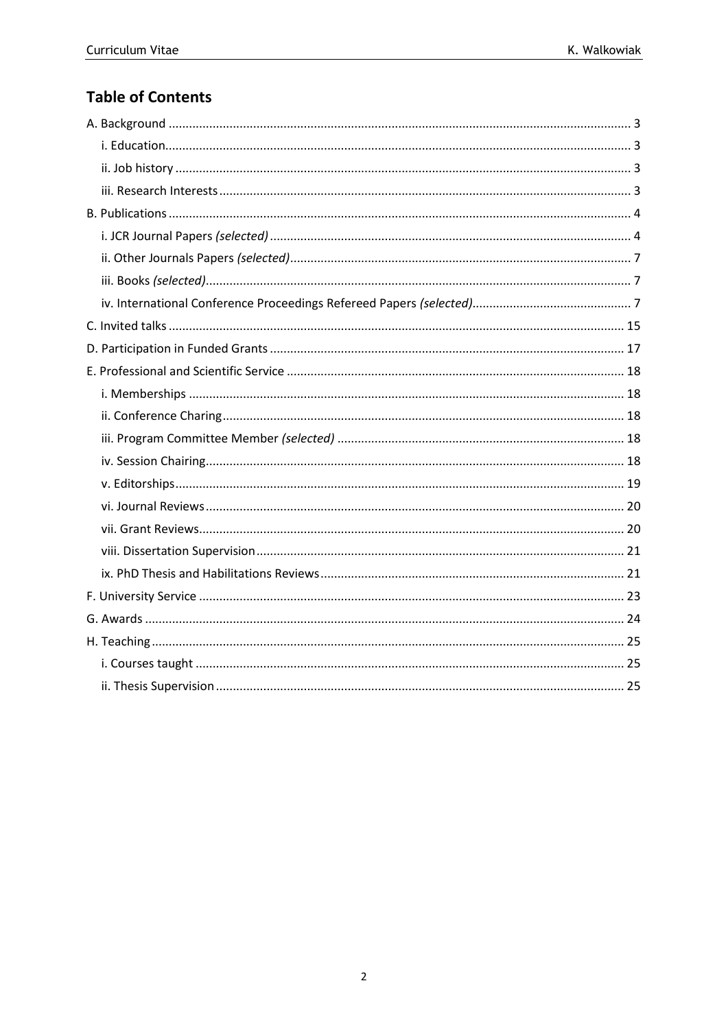### **Table of Contents**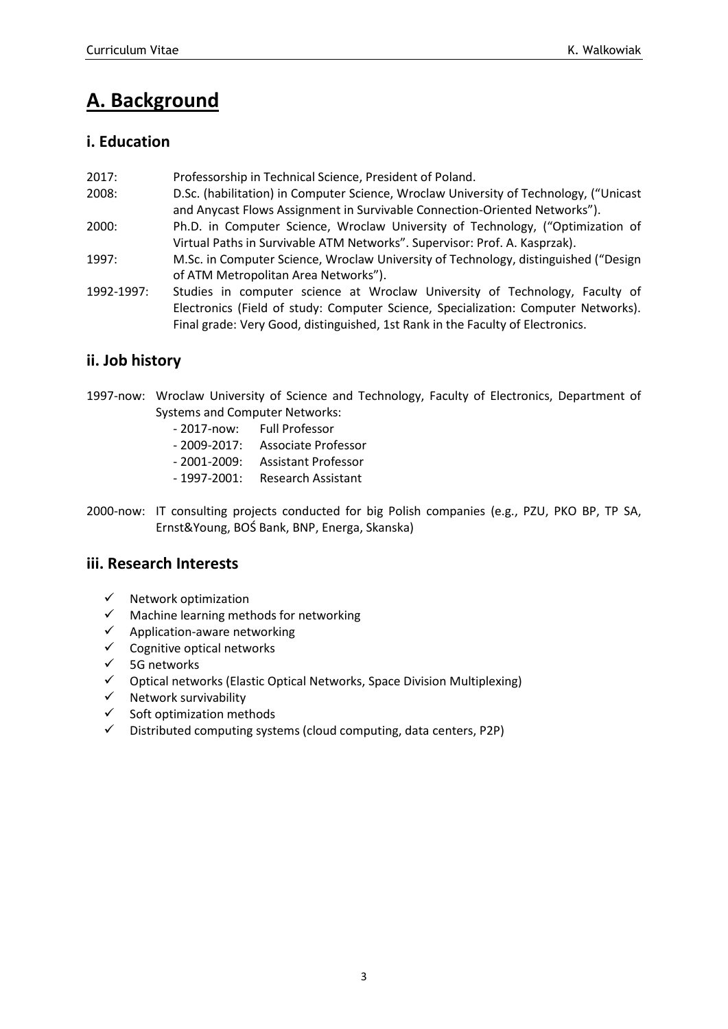# <span id="page-2-0"></span>**A. Background**

#### <span id="page-2-1"></span>**i. Education**

- 2017: Professorship in Technical Science, President of Poland.
- 2008: D.Sc. (habilitation) in Computer Science, Wroclaw University of Technology, ("Unicast and Anycast Flows Assignment in Survivable Connection-Oriented Networks").
- 2000: Ph.D. in Computer Science, Wroclaw University of Technology, ("Optimization of Virtual Paths in Survivable ATM Networks". Supervisor: Prof. A. Kasprzak).
- 1997: M.Sc. in Computer Science, Wroclaw University of Technology, distinguished ("Design of ATM Metropolitan Area Networks").
- 1992-1997: Studies in computer science at Wroclaw University of Technology, Faculty of Electronics (Field of study: Computer Science, Specialization: Computer Networks). Final grade: Very Good, distinguished, 1st Rank in the Faculty of Electronics.

### <span id="page-2-2"></span>**ii. Job history**

1997-now: Wroclaw University of Science and Technology, Faculty of Electronics, Department of Systems and Computer Networks:

| $-2017 - now:$   | <b>Full Professor</b>      |
|------------------|----------------------------|
| $-2009 - 2017$ : | <b>Associate Professor</b> |
| $-2001 - 2009$ : | <b>Assistant Professor</b> |
| $-1997-2001$ :   | Research Assistant         |
|                  |                            |

2000-now: IT consulting projects conducted for big Polish companies (e.g., PZU, PKO BP, TP SA, Ernst&Young, BOŚ Bank, BNP, Energa, Skanska)

#### <span id="page-2-3"></span>**iii. Research Interests**

- $\checkmark$  Network optimization
- $\checkmark$  Machine learning methods for networking
- $\checkmark$  Application-aware networking
- $\checkmark$  Cognitive optical networks
- ✓ 5G networks
- ✓ Optical networks (Elastic Optical Networks, Space Division Multiplexing)
- ✓ Network survivability
- $\checkmark$  Soft optimization methods
- ✓ Distributed computing systems (cloud computing, data centers, P2P)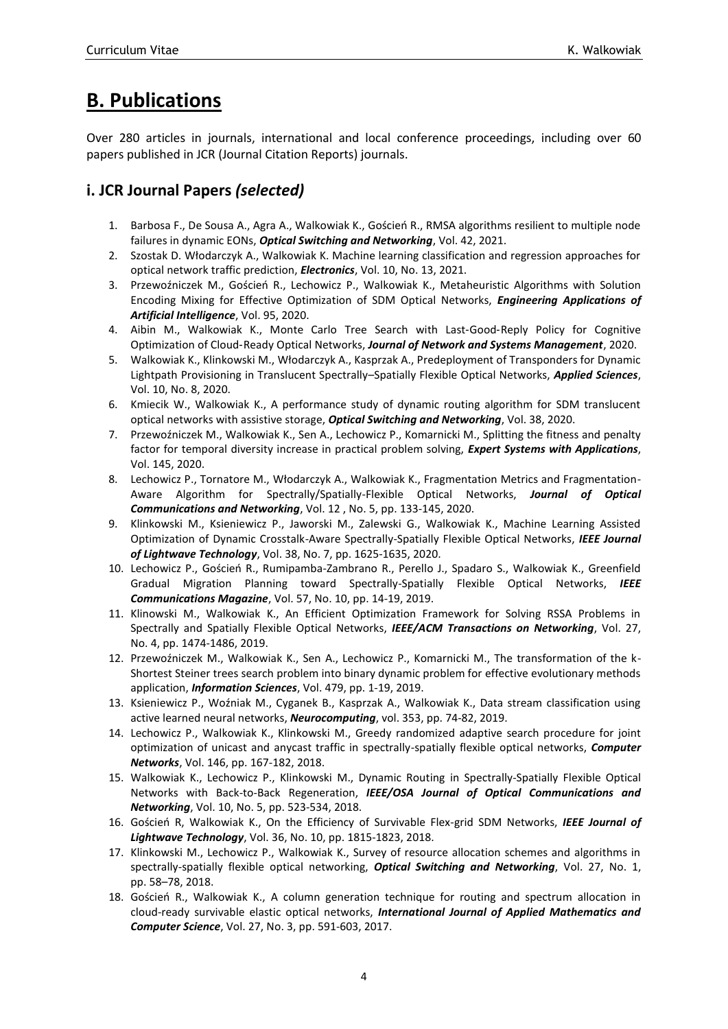## <span id="page-3-0"></span>**B. Publications**

Over 280 articles in journals, international and local conference proceedings, including over 60 papers published in JCR (Journal Citation Reports) journals.

### <span id="page-3-1"></span>**i. JCR Journal Papers** *(selected)*

- 1. Barbosa F., De Sousa A., Agra A., Walkowiak K., Goścień R., RMSA algorithms resilient to multiple node failures in dynamic EONs, *Optical Switching and Networking*, Vol. 42, 2021.
- 2. Szostak D. Włodarczyk A., Walkowiak K. Machine learning classification and regression approaches for optical network traffic prediction, *Electronics*, Vol. 10, No. 13, 2021.
- 3. Przewoźniczek M., Goścień R., Lechowicz P., Walkowiak K., Metaheuristic Algorithms with Solution Encoding Mixing for Effective Optimization of SDM Optical Networks, *Engineering Applications of Artificial Intelligence*, Vol. 95, 2020.
- 4. Aibin M., Walkowiak K., Monte Carlo Tree Search with Last-Good-Reply Policy for Cognitive Optimization of Cloud‑Ready Optical Networks, *Journal of Network and Systems Management*, 2020.
- 5. Walkowiak K., Klinkowski M., Włodarczyk A., Kasprzak A., Predeployment of Transponders for Dynamic Lightpath Provisioning in Translucent Spectrally–Spatially Flexible Optical Networks, *Applied Sciences*, Vol. 10, No. 8, 2020.
- 6. Kmiecik W., Walkowiak K., A performance study of dynamic routing algorithm for SDM translucent optical networks with assistive storage, *Optical Switching and Networking*, Vol. 38, 2020.
- 7. Przewoźniczek M., Walkowiak K., Sen A., Lechowicz P., Komarnicki M., Splitting the fitness and penalty factor for temporal diversity increase in practical problem solving, *Expert Systems with Applications*, Vol. 145, 2020.
- 8. Lechowicz P., Tornatore M., Włodarczyk A., Walkowiak K., Fragmentation Metrics and Fragmentation-Aware Algorithm for Spectrally/Spatially-Flexible Optical Networks, *Journal of Optical Communications and Networking*, Vol. 12 , No. 5, pp. 133-145, 2020.
- 9. Klinkowski M., Ksieniewicz P., Jaworski M., Zalewski G., Walkowiak K., Machine Learning Assisted Optimization of Dynamic Crosstalk-Aware Spectrally-Spatially Flexible Optical Networks, *IEEE Journal of Lightwave Technology*, Vol. 38, No. 7, pp. 1625-1635, 2020.
- 10. Lechowicz P., Goścień R., Rumipamba-Zambrano R., Perello J., Spadaro S., Walkowiak K., Greenfield Gradual Migration Planning toward Spectrally-Spatially Flexible Optical Networks, *IEEE Communications Magazine*, Vol. 57, No. 10, pp. 14-19, 2019.
- 11. Klinowski M., Walkowiak K., An Efficient Optimization Framework for Solving RSSA Problems in Spectrally and Spatially Flexible Optical Networks, *IEEE/ACM Transactions on Networking*, Vol. 27, No. 4, pp. 1474-1486, 2019.
- 12. Przewoźniczek M., Walkowiak K., Sen A., Lechowicz P., Komarnicki M., The transformation of the k-Shortest Steiner trees search problem into binary dynamic problem for effective evolutionary methods application, *Information Sciences*, Vol. 479, pp. 1-19, 2019.
- 13. Ksieniewicz P., Woźniak M., Cyganek B., Kasprzak A., Walkowiak K., Data stream classification using active learned neural networks, *Neurocomputing*, vol. 353, pp. 74-82, 2019.
- 14. Lechowicz P., Walkowiak K., Klinkowski M., Greedy randomized adaptive search procedure for joint optimization of unicast and anycast traffic in spectrally-spatially flexible optical networks, *Computer Networks*, Vol. 146, pp. 167-182, 2018.
- 15. Walkowiak K., Lechowicz P., Klinkowski M., Dynamic Routing in Spectrally-Spatially Flexible Optical Networks with Back-to-Back Regeneration, *IEEE/OSA Journal of Optical Communications and Networking*, Vol. 10, No. 5, pp. 523-534, 2018.
- 16. Goścień R, Walkowiak K., On the Efficiency of Survivable Flex-grid SDM Networks, *IEEE Journal of Lightwave Technology*, Vol. 36, No. 10, pp. 1815-1823, 2018.
- 17. Klinkowski M., Lechowicz P., Walkowiak K., Survey of resource allocation schemes and algorithms in spectrally-spatially flexible optical networking, *Optical Switching and Networking*, Vol. 27, No. 1, pp. 58–78, 2018.
- 18. Goścień R., Walkowiak K., A column generation technique for routing and spectrum allocation in cloud-ready survivable elastic optical networks, *International Journal of Applied Mathematics and Computer Science*, Vol. 27, No. 3, pp. 591-603, 2017.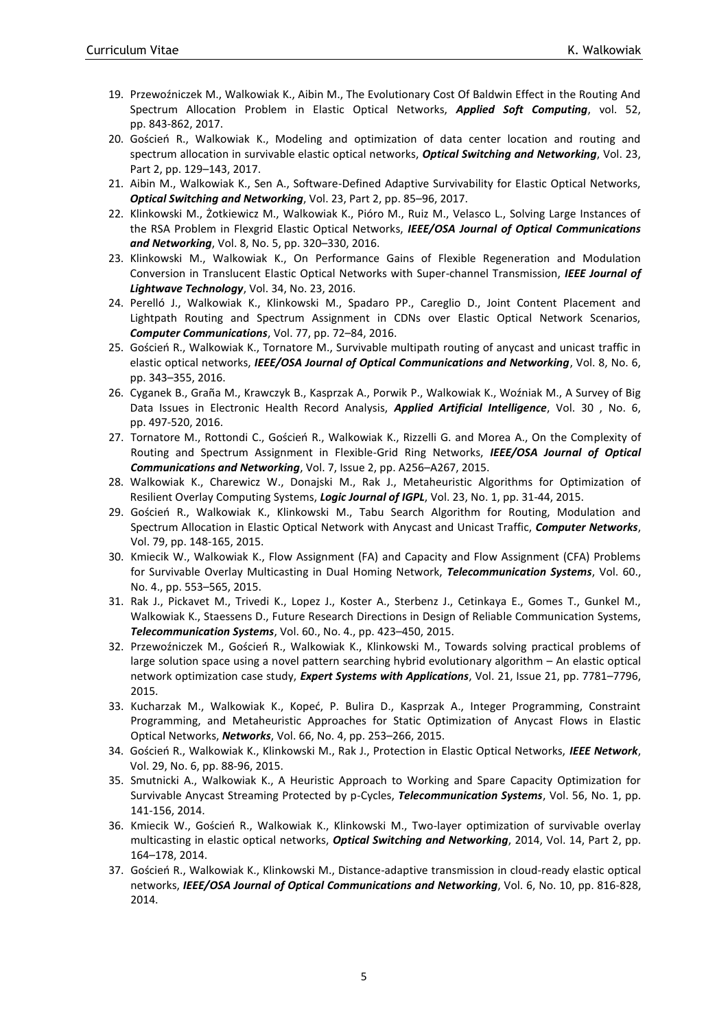- 19. Przewoźniczek M., Walkowiak K., Aibin M., The Evolutionary Cost Of Baldwin Effect in the Routing And Spectrum Allocation Problem in Elastic Optical Networks, *Applied Soft Computing*, vol. 52, pp. 843-862, 2017.
- 20. Goścień R., Walkowiak K., Modeling and optimization of data center location and routing and spectrum allocation in survivable elastic optical networks, *Optical Switching and Networking*, Vol. 23, Part 2, pp. 129–143, 2017.
- 21. Aibin M., Walkowiak K., Sen A., Software-Defined Adaptive Survivability for Elastic Optical Networks, *Optical Switching and Networking*, Vol. 23, Part 2, pp. 85–96, 2017.
- 22. Klinkowski M., Żotkiewicz M., Walkowiak K., Pióro M., Ruiz M., Velasco L., Solving Large Instances of the RSA Problem in Flexgrid Elastic Optical Networks, *IEEE/OSA Journal of Optical Communications and Networking*, Vol. 8, No. 5, pp. 320–330, 2016.
- 23. Klinkowski M., Walkowiak K., On Performance Gains of Flexible Regeneration and Modulation Conversion in Translucent Elastic Optical Networks with Super-channel Transmission, *IEEE Journal of Lightwave Technology*, Vol. 34, No. 23, 2016.
- 24. Perelló J., Walkowiak K., Klinkowski M., Spadaro PP., Careglio D., Joint Content Placement and Lightpath Routing and Spectrum Assignment in CDNs over Elastic Optical Network Scenarios, *Computer Communications*, Vol. 77, pp. 72–84, 2016.
- 25. Goścień R., Walkowiak K., Tornatore M., Survivable multipath routing of anycast and unicast traffic in elastic optical networks, *IEEE/OSA Journal of Optical Communications and Networking*, Vol. 8, No. 6, pp. 343–355, 2016.
- 26. Cyganek B., Graña M., Krawczyk B., Kasprzak A., Porwik P., Walkowiak K., Woźniak M., A Survey of Big Data Issues in Electronic Health Record Analysis, *Applied Artificial Intelligence*, Vol. 30 , No. 6, pp. 497-520, 2016.
- 27. Tornatore M., Rottondi C., Goścień R., Walkowiak K., Rizzelli G. and Morea A., On the Complexity of Routing and Spectrum Assignment in Flexible-Grid Ring Networks, *IEEE/OSA Journal of Optical Communications and Networking*, Vol. 7, Issue 2, pp. A256–A267, 2015.
- 28. Walkowiak K., Charewicz W., Donajski M., Rak J., Metaheuristic Algorithms for Optimization of Resilient Overlay Computing Systems, *Logic Journal of IGPL*, Vol. 23, No. 1, pp. 31-44, 2015.
- 29. Goścień R., Walkowiak K., Klinkowski M., Tabu Search Algorithm for Routing, Modulation and Spectrum Allocation in Elastic Optical Network with Anycast and Unicast Traffic, *Computer Networks*, Vol. 79, pp. 148-165, 2015.
- 30. Kmiecik W., Walkowiak K., Flow Assignment (FA) and Capacity and Flow Assignment (CFA) Problems for Survivable Overlay Multicasting in Dual Homing Network, *Telecommunication Systems*, Vol. 60., No. 4., pp. 553–565, 2015.
- 31. Rak J., Pickavet M., Trivedi K., Lopez J., Koster A., Sterbenz J., Cetinkaya E., Gomes T., Gunkel M., Walkowiak K., Staessens D., Future Research Directions in Design of Reliable Communication Systems, *Telecommunication Systems*, Vol. 60., No. 4., pp. 423–450, 2015.
- 32. Przewoźniczek M., Goścień R., Walkowiak K., Klinkowski M., Towards solving practical problems of large solution space using a novel pattern searching hybrid evolutionary algorithm – An elastic optical network optimization case study, *Expert Systems with Applications*, Vol. 21, Issue 21, pp. 7781–7796, 2015.
- 33. Kucharzak M., Walkowiak K., Kopeć, P. Bulira D., Kasprzak A., Integer Programming, Constraint Programming, and Metaheuristic Approaches for Static Optimization of Anycast Flows in Elastic Optical Networks, *Networks*, Vol. 66, No. 4, pp. 253–266, 2015.
- 34. Goścień R., Walkowiak K., Klinkowski M., Rak J., Protection in Elastic Optical Networks, *IEEE Network*, Vol. 29, No. 6, pp. 88-96, 2015.
- 35. Smutnicki A., Walkowiak K., A Heuristic Approach to Working and Spare Capacity Optimization for Survivable Anycast Streaming Protected by p-Cycles, *Telecommunication Systems*, Vol. 56, No. 1, pp. 141-156, 2014.
- 36. Kmiecik W., Goścień R., Walkowiak K., Klinkowski M., Two-layer optimization of survivable overlay multicasting in elastic optical networks, *Optical Switching and Networking*, 2014, [Vol. 14, Part 2,](http://www.sciencedirect.com/science/journal/15734277/14/supp/P2) pp. 164–178, 2014.
- 37. Goścień R., Walkowiak K., Klinkowski M., Distance-adaptive transmission in cloud-ready elastic optical networks, *IEEE/OSA Journal of Optical Communications and Networking*, Vol. 6, No. 10, pp. 816-828, 2014.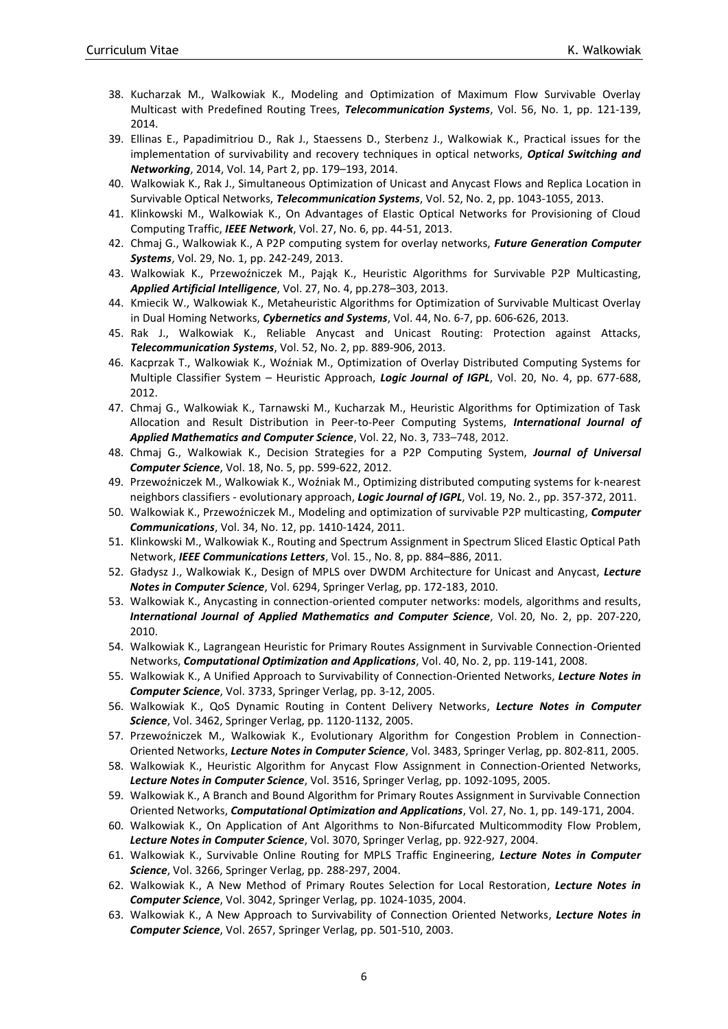- 38. Kucharzak M., Walkowiak K., Modeling and Optimization of Maximum Flow Survivable Overlay Multicast with Predefined Routing Trees, *Telecommunication Systems*, Vol. 56, No. 1, pp. 121-139, 2014.
- 39. Ellinas E., Papadimitriou D., Rak J., Staessens D., Sterbenz J., Walkowiak K., Practical issues for the implementation of survivability and recovery techniques in optical networks, *Optical Switching and Networking*, 2014[, Vol. 14, Part 2,](http://www.sciencedirect.com/science/journal/15734277/14/supp/P2) pp. 179–193, 2014.
- 40. Walkowiak K., Rak J., Simultaneous Optimization of Unicast and Anycast Flows and Replica Location in Survivable Optical Networks, *Telecommunication Systems*, Vol. 52, No. 2, pp. 1043-1055, 2013.
- 41. Klinkowski M., Walkowiak K., On Advantages of Elastic Optical Networks for Provisioning of Cloud Computing Traffic, *IEEE Network*, Vol. 27, No. 6, pp. 44-51, 2013.
- 42. Chmaj G., Walkowiak K., A P2P computing system for overlay networks, *Future Generation Computer Systems*, Vol. 29, No. 1, pp. 242-249, 2013.
- 43. Walkowiak K., Przewoźniczek M., Pająk K., Heuristic Algorithms for Survivable P2P Multicasting, *Applied Artificial Intelligence*, Vol. 27, No. 4, pp.278–303, 2013.
- 44. Kmiecik W., Walkowiak K., Metaheuristic Algorithms for Optimization of Survivable Multicast Overlay in Dual Homing Networks, *Cybernetics and Systems*, Vol. 44, No. 6-7, pp. 606-626, 2013.
- 45. Rak J., Walkowiak K., Reliable Anycast and Unicast Routing: Protection against Attacks, *Telecommunication Systems*, Vol. 52, No. 2, pp. 889-906, 2013.
- 46. Kacprzak T., Walkowiak K., Woźniak M., Optimization of Overlay Distributed Computing Systems for Multiple Classifier System – Heuristic Approach, *Logic Journal of IGPL*, Vol. 20, No. 4, pp. 677-688, 2012.
- 47. Chmaj G., Walkowiak K., Tarnawski M., Kucharzak M., Heuristic Algorithms for Optimization of Task Allocation and Result Distribution in Peer-to-Peer Computing Systems, *International Journal of Applied Mathematics and Computer Science*, Vol. 22, No. 3, 733–748, 2012.
- 48. Chmaj G., Walkowiak K., Decision Strategies for a P2P Computing System, *Journal of Universal Computer Science*, Vol. 18, No. 5, pp. 599-622, 2012.
- 49. Przewoźniczek M., Walkowiak K., Woźniak M., Optimizing distributed computing systems for k-nearest neighbors classifiers - evolutionary approach, *Logic Journal of IGPL*, Vol. 19, No. 2., pp. 357-372, 2011.
- 50. Walkowiak K., Przewoźniczek M., Modeling and optimization of survivable P2P multicasting, *Computer Communications*, Vol. 34, No. 12, pp. 1410-1424, 2011.
- 51. Klinkowski M., Walkowiak K., Routing and Spectrum Assignment in Spectrum Sliced Elastic Optical Path Network, *IEEE Communications Letters*, Vol. 15., No. 8, pp. 884–886, 2011.
- 52. Gładysz J., Walkowiak K., Design of MPLS over DWDM Architecture for Unicast and Anycast, *Lecture Notes in Computer Science*, Vol. 6294, Springer Verlag, pp. 172-183, 2010.
- 53. Walkowiak K., Anycasting in connection-oriented computer networks: models, algorithms and results, *International Journal of Applied Mathematics and Computer Science*, Vol. 20, No. 2, pp. 207-220, 2010.
- 54. Walkowiak K., Lagrangean Heuristic for Primary Routes Assignment in Survivable Connection-Oriented Networks, *Computational Optimization and Applications*, Vol. 40, No. 2, pp. 119-141, 2008.
- 55. Walkowiak K., A Unified Approach to Survivability of Connection-Oriented Networks, *Lecture Notes in Computer Science*, Vol. 3733, Springer Verlag, pp. 3-12, 2005.
- 56. Walkowiak K., QoS Dynamic Routing in Content Delivery Networks, *Lecture Notes in Computer Science*, Vol. 3462, Springer Verlag, pp. 1120-1132, 2005.
- 57. Przewoźniczek M., Walkowiak K., Evolutionary Algorithm for Congestion Problem in Connection-Oriented Networks, *Lecture Notes in Computer Science*, Vol. 3483, Springer Verlag, pp. 802-811, 2005.
- 58. Walkowiak K., Heuristic Algorithm for Anycast Flow Assignment in Connection-Oriented Networks, *Lecture Notes in Computer Science*, Vol. 3516, Springer Verlag, pp. 1092-1095, 2005.
- 59. Walkowiak K., A Branch and Bound Algorithm for Primary Routes Assignment in Survivable Connection Oriented Networks, *Computational Optimization and Applications*, Vol. 27, No. 1, pp. 149-171, 2004.
- 60. Walkowiak K., On Application of Ant Algorithms to Non-Bifurcated Multicommodity Flow Problem, *Lecture Notes in Computer Science*, Vol. 3070, Springer Verlag, pp. 922-927, 2004.
- 61. Walkowiak K., Survivable Online Routing for MPLS Traffic Engineering, *Lecture Notes in Computer Science*, Vol. 3266, Springer Verlag, pp. 288-297, 2004.
- 62. Walkowiak K., A New Method of Primary Routes Selection for Local Restoration, *Lecture Notes in Computer Science*, Vol. 3042, Springer Verlag, pp. 1024-1035, 2004.
- 63. Walkowiak K., A New Approach to Survivability of Connection Oriented Networks, *Lecture Notes in Computer Science*, Vol. 2657, Springer Verlag, pp. 501-510, 2003.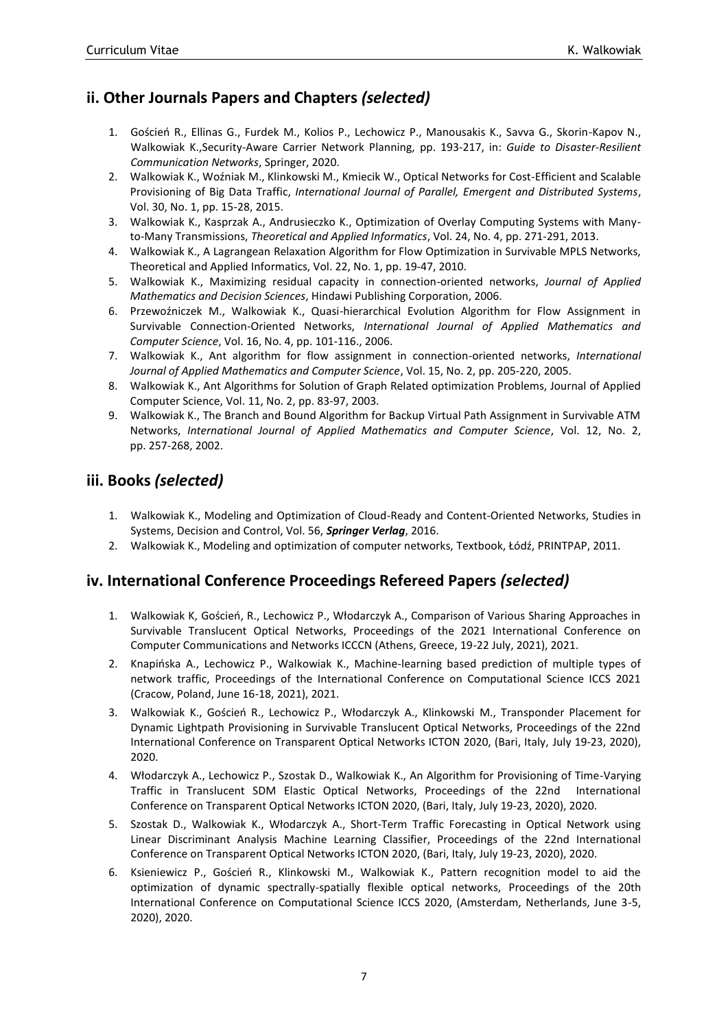### <span id="page-6-0"></span>**ii. Other Journals Papers and Chapters** *(selected)*

- 1. Goścień R., Ellinas G., Furdek M., Kolios P., Lechowicz P., Manousakis K., Savva G., Skorin-Kapov N., Walkowiak K.,Security-Aware Carrier Network Planning, pp. 193-217, in: *Guide to Disaster-Resilient Communication Networks*, Springer, 2020.
- 2. Walkowiak K., Woźniak M., Klinkowski M., Kmiecik W., Optical Networks for Cost-Efficient and Scalable Provisioning of Big Data Traffic, *International Journal of Parallel, Emergent and Distributed Systems*, Vol. 30, No. 1, pp. 15-28, 2015.
- 3. Walkowiak K., Kasprzak A., Andrusieczko K., Optimization of Overlay Computing Systems with Manyto-Many Transmissions, *Theoretical and Applied Informatics*, Vol. 24, No. 4, pp. 271-291, 2013.
- 4. Walkowiak K., A Lagrangean Relaxation Algorithm for Flow Optimization in Survivable MPLS Networks, Theoretical and Applied Informatics, Vol. 22, No. 1, pp. 19-47, 2010.
- 5. Walkowiak K., Maximizing residual capacity in connection-oriented networks, *Journal of Applied Mathematics and Decision Sciences*, Hindawi Publishing Corporation, 2006.
- 6. Przewoźniczek M., Walkowiak K., Quasi-hierarchical Evolution Algorithm for Flow Assignment in Survivable Connection-Oriented Networks, *International Journal of Applied Mathematics and Computer Science*, Vol. 16, No. 4, pp. 101-116., 2006.
- 7. Walkowiak K., Ant algorithm for flow assignment in connection-oriented networks, *International Journal of Applied Mathematics and Computer Science*, Vol. 15, No. 2, pp. 205-220, 2005.
- 8. Walkowiak K., Ant Algorithms for Solution of Graph Related optimization Problems, Journal of Applied Computer Science, Vol. 11, No. 2, pp. 83-97, 2003.
- 9. Walkowiak K., The Branch and Bound Algorithm for Backup Virtual Path Assignment in Survivable ATM Networks, *International Journal of Applied Mathematics and Computer Science*, Vol. 12, No. 2, pp. 257-268, 2002.

#### <span id="page-6-1"></span>**iii. Books** *(selected)*

- 1. Walkowiak K., Modeling and Optimization of Cloud-Ready and Content-Oriented Networks, Studies in Systems, Decision and Control, Vol. 56, *Springer Verlag*, 2016.
- 2. Walkowiak K., Modeling and optimization of computer networks, Textbook, Łódź, PRINTPAP, 2011.

#### <span id="page-6-2"></span>**iv. International Conference Proceedings Refereed Papers** *(selected)*

- 1. Walkowiak K, Goścień, R., Lechowicz P., Włodarczyk A., Comparison of Various Sharing Approaches in Survivable Translucent Optical Networks, Proceedings of the 2021 International Conference on Computer Communications and Networks ICCCN (Athens, Greece, 19-22 July, 2021), 2021.
- 2. Knapińska A., Lechowicz P., Walkowiak K., Machine-learning based prediction of multiple types of network traffic, Proceedings of the International Conference on Computational Science ICCS 2021 (Cracow, Poland, June 16-18, 2021), 2021.
- 3. Walkowiak K., Goścień R., Lechowicz P., Włodarczyk A., Klinkowski M., Transponder Placement for Dynamic Lightpath Provisioning in Survivable Translucent Optical Networks, Proceedings of the 22nd International Conference on Transparent Optical Networks ICTON 2020, (Bari, Italy, July 19-23, 2020), 2020.
- 4. Włodarczyk A., Lechowicz P., Szostak D., Walkowiak K., An Algorithm for Provisioning of Time-Varying Traffic in Translucent SDM Elastic Optical Networks, Proceedings of the 22nd International Conference on Transparent Optical Networks ICTON 2020, (Bari, Italy, July 19-23, 2020), 2020.
- 5. Szostak D., Walkowiak K., Włodarczyk A., Short-Term Traffic Forecasting in Optical Network using Linear Discriminant Analysis Machine Learning Classifier, Proceedings of the 22nd International Conference on Transparent Optical Networks ICTON 2020, (Bari, Italy, July 19-23, 2020), 2020.
- 6. Ksieniewicz P., Goścień R., Klinkowski M., Walkowiak K., Pattern recognition model to aid the optimization of dynamic spectrally-spatially flexible optical networks, Proceedings of the 20th International Conference on Computational Science ICCS 2020, (Amsterdam, Netherlands, June 3-5, 2020), 2020.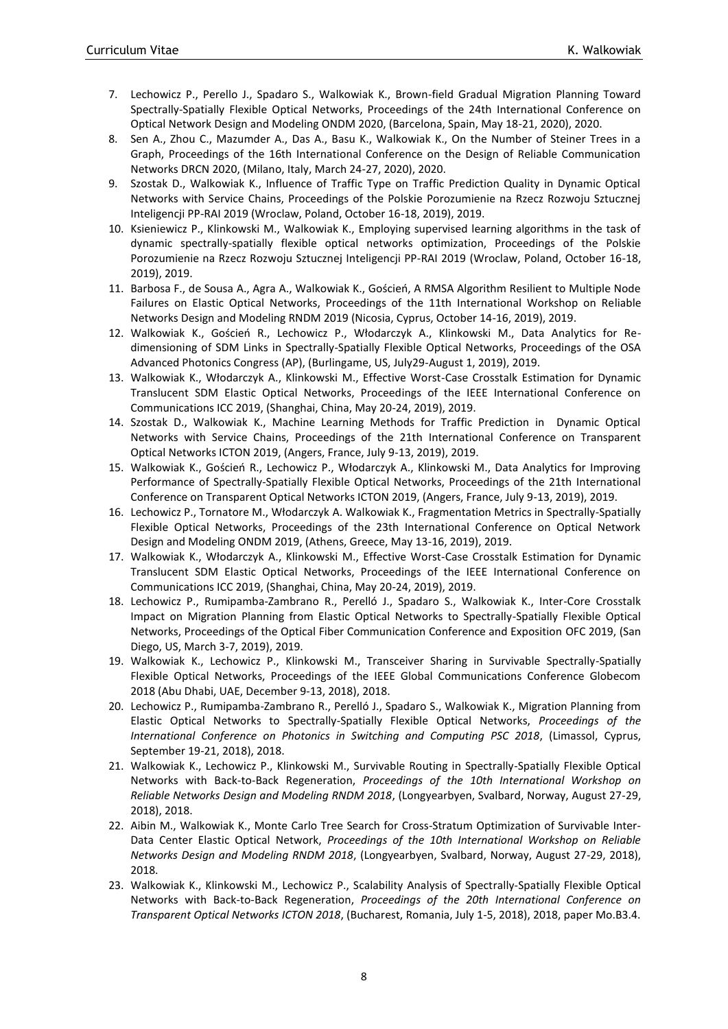- 7. Lechowicz P., Perello J., Spadaro S., Walkowiak K., Brown-field Gradual Migration Planning Toward Spectrally-Spatially Flexible Optical Networks, Proceedings of the 24th International Conference on Optical Network Design and Modeling ONDM 2020, (Barcelona, Spain, May 18-21, 2020), 2020.
- 8. Sen A., Zhou C., Mazumder A., Das A., Basu K., Walkowiak K., On the Number of Steiner Trees in a Graph, Proceedings of the 16th International Conference on the Design of Reliable Communication Networks DRCN 2020, (Milano, Italy, March 24-27, 2020), 2020.
- 9. Szostak D., Walkowiak K., Influence of Traffic Type on Traffic Prediction Quality in Dynamic Optical Networks with Service Chains, Proceedings of the Polskie Porozumienie na Rzecz Rozwoju Sztucznej Inteligencji PP-RAI 2019 (Wroclaw, Poland, October 16-18, 2019), 2019.
- 10. Ksieniewicz P., Klinkowski M., Walkowiak K., Employing supervised learning algorithms in the task of dynamic spectrally-spatially flexible optical networks optimization, Proceedings of the Polskie Porozumienie na Rzecz Rozwoju Sztucznej Inteligencji PP-RAI 2019 (Wroclaw, Poland, October 16-18, 2019), 2019.
- 11. Barbosa F., de Sousa A., Agra A., Walkowiak K., Goścień, A RMSA Algorithm Resilient to Multiple Node Failures on Elastic Optical Networks, Proceedings of the 11th International Workshop on Reliable Networks Design and Modeling RNDM 2019 (Nicosia, Cyprus, October 14-16, 2019), 2019.
- 12. Walkowiak K., Goścień R., Lechowicz P., Włodarczyk A., Klinkowski M., Data Analytics for Redimensioning of SDM Links in Spectrally-Spatially Flexible Optical Networks, Proceedings of the OSA Advanced Photonics Congress (AP), (Burlingame, US, July29-August 1, 2019), 2019.
- 13. Walkowiak K., Włodarczyk A., Klinkowski M., Effective Worst-Case Crosstalk Estimation for Dynamic Translucent SDM Elastic Optical Networks, Proceedings of the IEEE International Conference on Communications ICC 2019, (Shanghai, China, May 20-24, 2019), 2019.
- 14. Szostak D., Walkowiak K., Machine Learning Methods for Traffic Prediction in Dynamic Optical Networks with Service Chains, Proceedings of the 21th International Conference on Transparent Optical Networks ICTON 2019, (Angers, France, July 9-13, 2019), 2019.
- 15. Walkowiak K., Goścień R., Lechowicz P., Włodarczyk A., Klinkowski M., Data Analytics for Improving Performance of Spectrally-Spatially Flexible Optical Networks, Proceedings of the 21th International Conference on Transparent Optical Networks ICTON 2019, (Angers, France, July 9-13, 2019), 2019.
- 16. Lechowicz P., Tornatore M., Włodarczyk A. Walkowiak K., Fragmentation Metrics in Spectrally-Spatially Flexible Optical Networks, Proceedings of the 23th International Conference on Optical Network Design and Modeling ONDM 2019, (Athens, Greece, May 13-16, 2019), 2019.
- 17. Walkowiak K., Włodarczyk A., Klinkowski M., Effective Worst-Case Crosstalk Estimation for Dynamic Translucent SDM Elastic Optical Networks, Proceedings of the IEEE International Conference on Communications ICC 2019, (Shanghai, China, May 20-24, 2019), 2019.
- 18. Lechowicz P., Rumipamba-Zambrano R., Perelló J., Spadaro S., Walkowiak K., Inter-Core Crosstalk Impact on Migration Planning from Elastic Optical Networks to Spectrally-Spatially Flexible Optical Networks, Proceedings of the Optical Fiber Communication Conference and Exposition OFC 2019, (San Diego, US, March 3-7, 2019), 2019.
- 19. Walkowiak K., Lechowicz P., Klinkowski M., Transceiver Sharing in Survivable Spectrally-Spatially Flexible Optical Networks, Proceedings of the IEEE Global Communications Conference Globecom 2018 (Abu Dhabi, UAE, December 9-13, 2018), 2018.
- 20. Lechowicz P., Rumipamba-Zambrano R., Perelló J., Spadaro S., Walkowiak K., Migration Planning from Elastic Optical Networks to Spectrally-Spatially Flexible Optical Networks, *Proceedings of the International Conference on Photonics in Switching and Computing PSC 2018*, (Limassol, Cyprus, September 19-21, 2018), 2018.
- 21. Walkowiak K., Lechowicz P., Klinkowski M., Survivable Routing in Spectrally-Spatially Flexible Optical Networks with Back-to-Back Regeneration, *Proceedings of the 10th International Workshop on Reliable Networks Design and Modeling RNDM 2018*, (Longyearbyen, Svalbard, Norway, August 27-29, 2018), 2018.
- 22. Aibin M., Walkowiak K., Monte Carlo Tree Search for Cross-Stratum Optimization of Survivable Inter-Data Center Elastic Optical Network, *Proceedings of the 10th International Workshop on Reliable Networks Design and Modeling RNDM 2018*, (Longyearbyen, Svalbard, Norway, August 27-29, 2018), 2018.
- 23. Walkowiak K., Klinkowski M., Lechowicz P., Scalability Analysis of Spectrally-Spatially Flexible Optical Networks with Back-to-Back Regeneration, *Proceedings of the 20th International Conference on Transparent Optical Networks ICTON 2018*, (Bucharest, Romania, July 1-5, 2018), 2018, paper Mo.B3.4.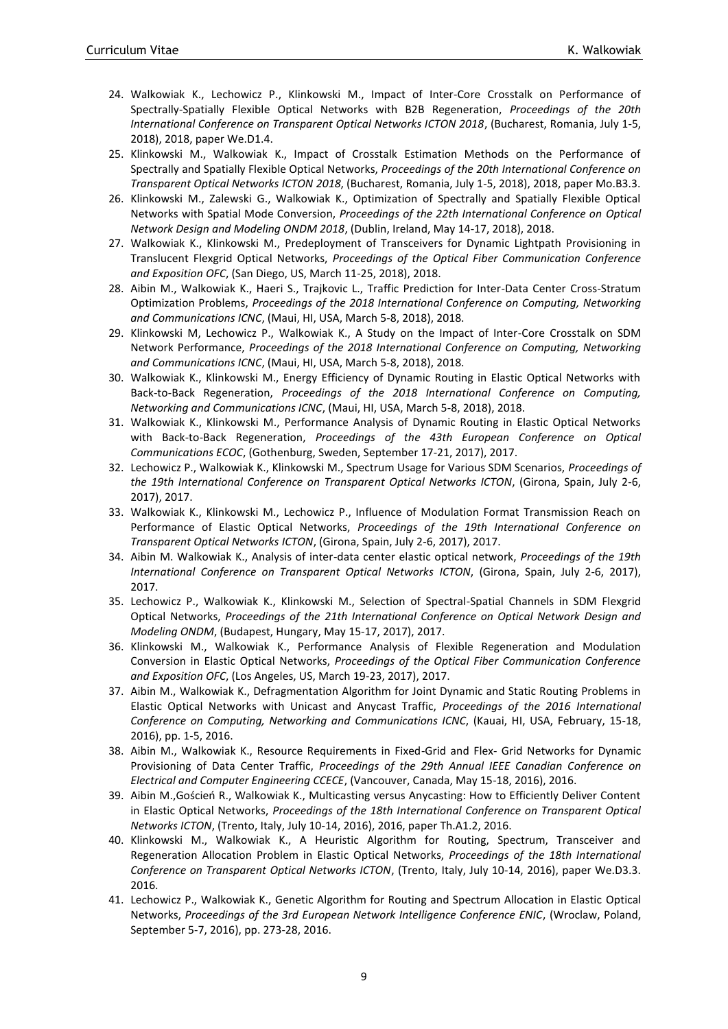- 24. Walkowiak K., Lechowicz P., Klinkowski M., Impact of Inter-Core Crosstalk on Performance of Spectrally-Spatially Flexible Optical Networks with B2B Regeneration, *Proceedings of the 20th International Conference on Transparent Optical Networks ICTON 2018*, (Bucharest, Romania, July 1-5, 2018), 2018, paper We.D1.4.
- 25. Klinkowski M., Walkowiak K., Impact of Crosstalk Estimation Methods on the Performance of Spectrally and Spatially Flexible Optical Networks, *Proceedings of the 20th International Conference on Transparent Optical Networks ICTON 2018*, (Bucharest, Romania, July 1-5, 2018), 2018, paper Mo.B3.3.
- 26. Klinkowski M., Zalewski G., Walkowiak K., Optimization of Spectrally and Spatially Flexible Optical Networks with Spatial Mode Conversion, *Proceedings of the 22th International Conference on Optical Network Design and Modeling ONDM 2018*, (Dublin, Ireland, May 14-17, 2018), 2018.
- 27. Walkowiak K., Klinkowski M., Predeployment of Transceivers for Dynamic Lightpath Provisioning in Translucent Flexgrid Optical Networks, *Proceedings of the Optical Fiber Communication Conference and Exposition OFC*, (San Diego, US, March 11-25, 2018), 2018.
- 28. Aibin M., Walkowiak K., Haeri S., Trajkovic L., Traffic Prediction for Inter-Data Center Cross-Stratum Optimization Problems, *Proceedings of the 2018 International Conference on Computing, Networking and Communications ICNC*, (Maui, HI, USA, March 5-8, 2018), 2018.
- 29. Klinkowski M, Lechowicz P., Walkowiak K., A Study on the Impact of Inter-Core Crosstalk on SDM Network Performance, *Proceedings of the 2018 International Conference on Computing, Networking and Communications ICNC*, (Maui, HI, USA, March 5-8, 2018), 2018.
- 30. Walkowiak K., Klinkowski M., Energy Efficiency of Dynamic Routing in Elastic Optical Networks with Back-to-Back Regeneration, *Proceedings of the 2018 International Conference on Computing, Networking and Communications ICNC*, (Maui, HI, USA, March 5-8, 2018), 2018.
- 31. Walkowiak K., Klinkowski M., Performance Analysis of Dynamic Routing in Elastic Optical Networks with Back-to-Back Regeneration, *Proceedings of the 43th European Conference on Optical Communications ECOC*, (Gothenburg, Sweden, September 17-21, 2017), 2017.
- 32. Lechowicz P., Walkowiak K., Klinkowski M., Spectrum Usage for Various SDM Scenarios, *Proceedings of the 19th International Conference on Transparent Optical Networks ICTON*, (Girona, Spain, July 2-6, 2017), 2017.
- 33. Walkowiak K., Klinkowski M., Lechowicz P., Influence of Modulation Format Transmission Reach on Performance of Elastic Optical Networks, *Proceedings of the 19th International Conference on Transparent Optical Networks ICTON*, (Girona, Spain, July 2-6, 2017), 2017.
- 34. Aibin M. Walkowiak K., Analysis of inter-data center elastic optical network, *Proceedings of the 19th International Conference on Transparent Optical Networks ICTON*, (Girona, Spain, July 2-6, 2017), 2017.
- 35. Lechowicz P., Walkowiak K., Klinkowski M., Selection of Spectral-Spatial Channels in SDM Flexgrid Optical Networks, *Proceedings of the 21th International Conference on Optical Network Design and Modeling ONDM*, (Budapest, Hungary, May 15-17, 2017), 2017.
- 36. Klinkowski M., Walkowiak K., Performance Analysis of Flexible Regeneration and Modulation Conversion in Elastic Optical Networks, *Proceedings of the Optical Fiber Communication Conference and Exposition OFC*, (Los Angeles, US, March 19-23, 2017), 2017.
- 37. Aibin M., Walkowiak K., Defragmentation Algorithm for Joint Dynamic and Static Routing Problems in Elastic Optical Networks with Unicast and Anycast Traffic, *Proceedings of the 2016 International Conference on Computing, Networking and Communications ICNC*, (Kauai, HI, USA, February, 15-18, 2016), pp. 1-5, 2016.
- 38. Aibin M., Walkowiak K., Resource Requirements in Fixed-Grid and Flex- Grid Networks for Dynamic Provisioning of Data Center Traffic, *Proceedings of the 29th Annual IEEE Canadian Conference on Electrical and Computer Engineering CCECE*, (Vancouver, Canada, May 15-18, 2016), 2016.
- 39. Aibin M.,Goścień R., Walkowiak K., Multicasting versus Anycasting: How to Efficiently Deliver Content in Elastic Optical Networks, *Proceedings of the 18th International Conference on Transparent Optical Networks ICTON*, (Trento, Italy, July 10-14, 2016), 2016, paper Th.A1.2, 2016.
- 40. Klinkowski M., Walkowiak K., A Heuristic Algorithm for Routing, Spectrum, Transceiver and Regeneration Allocation Problem in Elastic Optical Networks, *Proceedings of the 18th International Conference on Transparent Optical Networks ICTON*, (Trento, Italy, July 10-14, 2016), paper We.D3.3. 2016.
- 41. Lechowicz P., Walkowiak K., Genetic Algorithm for Routing and Spectrum Allocation in Elastic Optical Networks, *Proceedings of the 3rd European Network Intelligence Conference ENIC*, (Wroclaw, Poland, September 5-7, 2016), pp. 273-28, 2016.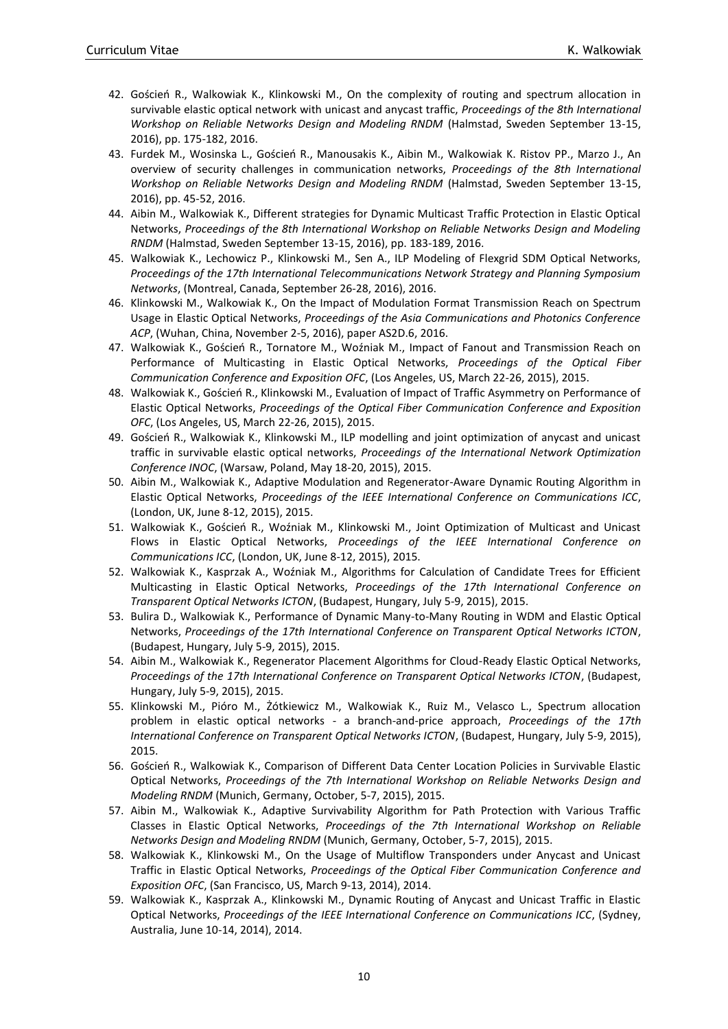- 42. Goścień R., Walkowiak K., Klinkowski M., On the complexity of routing and spectrum allocation in survivable elastic optical network with unicast and anycast traffic, *Proceedings of the 8th International Workshop on Reliable Networks Design and Modeling RNDM* (Halmstad, Sweden September 13-15, 2016), pp. 175-182, 2016.
- 43. Furdek M., Wosinska L., Goścień R., Manousakis K., Aibin M., Walkowiak K. Ristov PP., Marzo J., An overview of security challenges in communication networks, *Proceedings of the 8th International Workshop on Reliable Networks Design and Modeling RNDM* (Halmstad, Sweden September 13-15, 2016), pp. 45-52, 2016.
- 44. Aibin M., Walkowiak K., Different strategies for Dynamic Multicast Traffic Protection in Elastic Optical Networks, *Proceedings of the 8th International Workshop on Reliable Networks Design and Modeling RNDM* (Halmstad, Sweden September 13-15, 2016), pp. 183-189, 2016.
- 45. Walkowiak K., Lechowicz P., Klinkowski M., Sen A., ILP Modeling of Flexgrid SDM Optical Networks, *Proceedings of the 17th International Telecommunications Network Strategy and Planning Symposium Networks*, (Montreal, Canada, September 26-28, 2016), 2016.
- 46. Klinkowski M., Walkowiak K., On the Impact of Modulation Format Transmission Reach on Spectrum Usage in Elastic Optical Networks, *Proceedings of the Asia Communications and Photonics Conference ACP*, (Wuhan, China, November 2-5, 2016), paper AS2D.6, 2016.
- 47. Walkowiak K., Goścień R., Tornatore M., Woźniak M., Impact of Fanout and Transmission Reach on Performance of Multicasting in Elastic Optical Networks, *Proceedings of the Optical Fiber Communication Conference and Exposition OFC*, (Los Angeles, US, March 22-26, 2015), 2015.
- 48. Walkowiak K., Goścień R., Klinkowski M., Evaluation of Impact of Traffic Asymmetry on Performance of Elastic Optical Networks, *Proceedings of the Optical Fiber Communication Conference and Exposition OFC*, (Los Angeles, US, March 22-26, 2015), 2015.
- 49. Goścień R., Walkowiak K., Klinkowski M., ILP modelling and joint optimization of anycast and unicast traffic in survivable elastic optical networks, *Proceedings of the International Network Optimization Conference INOC*, (Warsaw, Poland, May 18-20, 2015), 2015.
- 50. Aibin M., Walkowiak K., Adaptive Modulation and Regenerator-Aware Dynamic Routing Algorithm in Elastic Optical Networks, *Proceedings of the IEEE International Conference on Communications ICC*, (London, UK, June 8-12, 2015), 2015.
- 51. Walkowiak K., Goścień R., Woźniak M., Klinkowski M., Joint Optimization of Multicast and Unicast Flows in Elastic Optical Networks, *Proceedings of the IEEE International Conference on Communications ICC*, (London, UK, June 8-12, 2015), 2015.
- 52. Walkowiak K., Kasprzak A., Woźniak M., Algorithms for Calculation of Candidate Trees for Efficient Multicasting in Elastic Optical Networks, *Proceedings of the 17th International Conference on Transparent Optical Networks ICTON*, (Budapest, Hungary, July 5-9, 2015), 2015.
- 53. Bulira D., Walkowiak K., Performance of Dynamic Many-to-Many Routing in WDM and Elastic Optical Networks, *Proceedings of the 17th International Conference on Transparent Optical Networks ICTON*, (Budapest, Hungary, July 5-9, 2015), 2015.
- 54. Aibin M., Walkowiak K., Regenerator Placement Algorithms for Cloud-Ready Elastic Optical Networks, *Proceedings of the 17th International Conference on Transparent Optical Networks ICTON*, (Budapest, Hungary, July 5-9, 2015), 2015.
- 55. Klinkowski M., Pióro M., Żótkiewicz M., Walkowiak K., Ruiz M., Velasco L., Spectrum allocation problem in elastic optical networks - a branch-and-price approach, *Proceedings of the 17th International Conference on Transparent Optical Networks ICTON*, (Budapest, Hungary, July 5-9, 2015), 2015.
- 56. Goścień R., Walkowiak K., Comparison of Different Data Center Location Policies in Survivable Elastic Optical Networks, *Proceedings of the 7th International Workshop on Reliable Networks Design and Modeling RNDM* (Munich, Germany, October, 5-7, 2015), 2015.
- 57. Aibin M., Walkowiak K., Adaptive Survivability Algorithm for Path Protection with Various Traffic Classes in Elastic Optical Networks, *Proceedings of the 7th International Workshop on Reliable Networks Design and Modeling RNDM* (Munich, Germany, October, 5-7, 2015), 2015.
- 58. Walkowiak K., Klinkowski M., On the Usage of Multiflow Transponders under Anycast and Unicast Traffic in Elastic Optical Networks, *Proceedings of the Optical Fiber Communication Conference and Exposition OFC*, (San Francisco, US, March 9-13, 2014), 2014.
- 59. Walkowiak K., Kasprzak A., Klinkowski M., Dynamic Routing of Anycast and Unicast Traffic in Elastic Optical Networks, *Proceedings of the IEEE International Conference on Communications ICC*, (Sydney, Australia, June 10-14, 2014), 2014.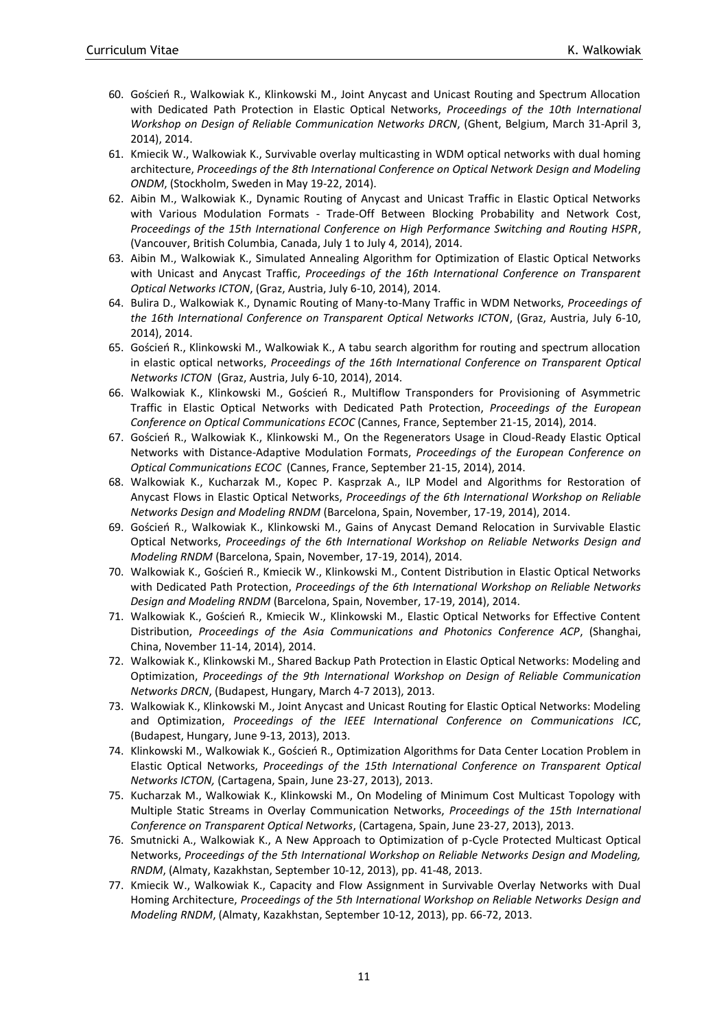- 60. Goścień R., Walkowiak K., Klinkowski M., Joint Anycast and Unicast Routing and Spectrum Allocation with Dedicated Path Protection in Elastic Optical Networks, *Proceedings of the 10th International Workshop on Design of Reliable Communication Networks DRCN*, (Ghent, Belgium, March 31-April 3, 2014), 2014.
- 61. Kmiecik W., Walkowiak K., Survivable overlay multicasting in WDM optical networks with dual homing architecture, *Proceedings of the 8th International Conference on Optical Network Design and Modeling ONDM*, (Stockholm, Sweden in May 19-22, 2014).
- 62. Aibin M., Walkowiak K., Dynamic Routing of Anycast and Unicast Traffic in Elastic Optical Networks with Various Modulation Formats - Trade-Off Between Blocking Probability and Network Cost, *Proceedings of the 15th International Conference on High Performance Switching and Routing HSPR*, (Vancouver, British Columbia, Canada, July 1 to July 4, 2014), 2014.
- 63. Aibin M., Walkowiak K., Simulated Annealing Algorithm for Optimization of Elastic Optical Networks with Unicast and Anycast Traffic, *Proceedings of the 16th International Conference on Transparent Optical Networks ICTON*, (Graz, Austria, July 6-10, 2014), 2014.
- 64. Bulira D., Walkowiak K., Dynamic Routing of Many-to-Many Traffic in WDM Networks, *Proceedings of the 16th International Conference on Transparent Optical Networks ICTON*, (Graz, Austria, July 6-10, 2014), 2014.
- 65. Goścień R., Klinkowski M., Walkowiak K., A tabu search algorithm for routing and spectrum allocation in elastic optical networks, *Proceedings of the 16th International Conference on Transparent Optical Networks ICTON* (Graz, Austria, July 6-10, 2014), 2014.
- 66. Walkowiak K., Klinkowski M., Goścień R., Multiflow Transponders for Provisioning of Asymmetric Traffic in Elastic Optical Networks with Dedicated Path Protection, *Proceedings of the European Conference on Optical Communications ECOC* (Cannes, France, September 21-15, 2014), 2014.
- 67. Goścień R., Walkowiak K., Klinkowski M., On the Regenerators Usage in Cloud-Ready Elastic Optical Networks with Distance-Adaptive Modulation Formats, *Proceedings of the European Conference on Optical Communications ECOC* (Cannes, France, September 21-15, 2014), 2014.
- 68. Walkowiak K., Kucharzak M., Kopec P. Kasprzak A., ILP Model and Algorithms for Restoration of Anycast Flows in Elastic Optical Networks, *Proceedings of the 6th International Workshop on Reliable Networks Design and Modeling RNDM* (Barcelona, Spain, November, 17-19, 2014), 2014.
- 69. Goścień R., Walkowiak K., Klinkowski M., Gains of Anycast Demand Relocation in Survivable Elastic Optical Networks, *Proceedings of the 6th International Workshop on Reliable Networks Design and Modeling RNDM* (Barcelona, Spain, November, 17-19, 2014), 2014.
- 70. Walkowiak K., Goścień R., Kmiecik W., Klinkowski M., Content Distribution in Elastic Optical Networks with Dedicated Path Protection, *Proceedings of the 6th International Workshop on Reliable Networks Design and Modeling RNDM* (Barcelona, Spain, November, 17-19, 2014), 2014.
- 71. Walkowiak K., Goścień R., Kmiecik W., Klinkowski M., Elastic Optical Networks for Effective Content Distribution, *Proceedings of the Asia Communications and Photonics Conference ACP*, (Shanghai, China, November 11-14, 2014), 2014.
- 72. Walkowiak K., Klinkowski M., Shared Backup Path Protection in Elastic Optical Networks: Modeling and Optimization, *Proceedings of the 9th International Workshop on Design of Reliable Communication Networks DRCN*, (Budapest, Hungary, March 4-7 2013), 2013.
- 73. Walkowiak K., Klinkowski M., Joint Anycast and Unicast Routing for Elastic Optical Networks: Modeling and Optimization, *Proceedings of the IEEE International Conference on Communications ICC*, (Budapest, Hungary, June 9-13, 2013), 2013.
- 74. Klinkowski M., Walkowiak K., Goścień R., Optimization Algorithms for Data Center Location Problem in Elastic Optical Networks, *Proceedings of the 15th International Conference on Transparent Optical Networks ICTON,* (Cartagena, Spain, June 23-27, 2013), 2013.
- 75. Kucharzak M., Walkowiak K., Klinkowski M., On Modeling of Minimum Cost Multicast Topology with Multiple Static Streams in Overlay Communication Networks, *Proceedings of the 15th International Conference on Transparent Optical Networks*, (Cartagena, Spain, June 23-27, 2013), 2013.
- 76. Smutnicki A., Walkowiak K., A New Approach to Optimization of p-Cycle Protected Multicast Optical Networks, *Proceedings of the 5th International Workshop on Reliable Networks Design and Modeling, RNDM*, (Almaty, Kazakhstan, September 10-12, 2013), pp. 41-48, 2013.
- 77. Kmiecik W., Walkowiak K., Capacity and Flow Assignment in Survivable Overlay Networks with Dual Homing Architecture, *Proceedings of the 5th International Workshop on Reliable Networks Design and Modeling RNDM*, (Almaty, Kazakhstan, September 10-12, 2013), pp. 66-72, 2013.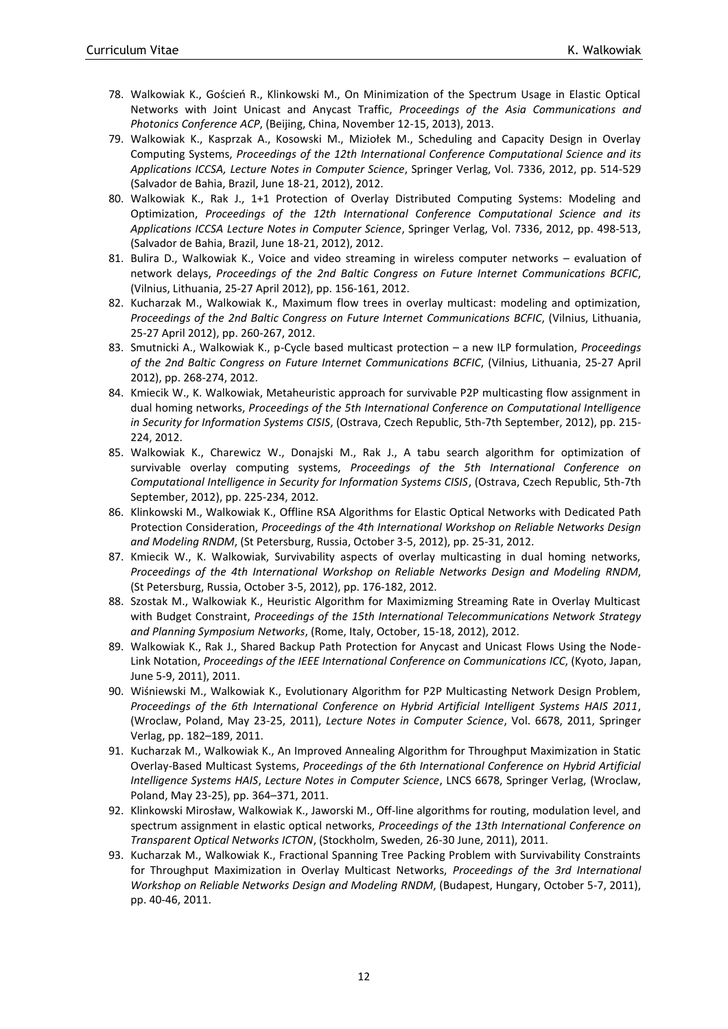- 78. Walkowiak K., Goścień R., Klinkowski M., On Minimization of the Spectrum Usage in Elastic Optical Networks with Joint Unicast and Anycast Traffic, *Proceedings of the Asia Communications and Photonics Conference ACP*, (Beijing, China, November 12-15, 2013), 2013.
- 79. Walkowiak K., Kasprzak A., Kosowski M., Miziołek M., Scheduling and Capacity Design in Overlay Computing Systems, *Proceedings of the 12th International Conference Computational Science and its Applications ICCSA, Lecture Notes in Computer Science*, Springer Verlag, Vol. 7336, 2012, pp. 514-529 (Salvador de Bahia, Brazil, June 18-21, 2012), 2012.
- 80. Walkowiak K., Rak J., 1+1 Protection of Overlay Distributed Computing Systems: Modeling and Optimization, *Proceedings of the 12th International Conference Computational Science and its Applications ICCSA Lecture Notes in Computer Science*, Springer Verlag, Vol. 7336, 2012, pp. 498-513, (Salvador de Bahia, Brazil, June 18-21, 2012), 2012.
- 81. Bulira D., Walkowiak K., Voice and video streaming in wireless computer networks evaluation of network delays, *Proceedings of the 2nd Baltic Congress on Future Internet Communications BCFIC*, (Vilnius, Lithuania, 25-27 April 2012), pp. 156-161, 2012.
- 82. Kucharzak M., Walkowiak K., Maximum flow trees in overlay multicast: modeling and optimization, *Proceedings of the 2nd Baltic Congress on Future Internet Communications BCFIC*, (Vilnius, Lithuania, 25-27 April 2012), pp. 260-267, 2012.
- 83. Smutnicki A., Walkowiak K., p-Cycle based multicast protection a new ILP formulation, *Proceedings of the 2nd Baltic Congress on Future Internet Communications BCFIC*, (Vilnius, Lithuania, 25-27 April 2012), pp. 268-274, 2012.
- 84. Kmiecik W., K. Walkowiak, Metaheuristic approach for survivable P2P multicasting flow assignment in dual homing networks, *Proceedings of the 5th International Conference on Computational Intelligence in Security for Information Systems CISIS*, (Ostrava, Czech Republic, 5th-7th September, 2012), pp. 215- 224, 2012.
- 85. Walkowiak K., Charewicz W., Donajski M., Rak J., A tabu search algorithm for optimization of survivable overlay computing systems, *Proceedings of the 5th International Conference on Computational Intelligence in Security for Information Systems CISIS*, (Ostrava, Czech Republic, 5th-7th September, 2012), pp. 225-234, 2012.
- 86. Klinkowski M., Walkowiak K., Offline RSA Algorithms for Elastic Optical Networks with Dedicated Path Protection Consideration, *Proceedings of the 4th International Workshop on Reliable Networks Design and Modeling RNDM*, (St Petersburg, Russia, October 3-5, 2012), pp. 25-31, 2012.
- 87. Kmiecik W., K. Walkowiak, Survivability aspects of overlay multicasting in dual homing networks, *Proceedings of the 4th International Workshop on Reliable Networks Design and Modeling RNDM*, (St Petersburg, Russia, October 3-5, 2012), pp. 176-182, 2012.
- 88. Szostak M., Walkowiak K., Heuristic Algorithm for Maximizming Streaming Rate in Overlay Multicast with Budget Constraint, *Proceedings of the 15th International Telecommunications Network Strategy and Planning Symposium Networks*, (Rome, Italy, October, 15-18, 2012), 2012.
- 89. Walkowiak K., Rak J., Shared Backup Path Protection for Anycast and Unicast Flows Using the Node-Link Notation, *Proceedings of the IEEE International Conference on Communications ICC*, (Kyoto, Japan, June 5-9, 2011), 2011.
- 90. Wiśniewski M., Walkowiak K., Evolutionary Algorithm for P2P Multicasting Network Design Problem, *Proceedings of the 6th International Conference on Hybrid Artificial Intelligent Systems HAIS 2011*, (Wroclaw, Poland, May 23-25, 2011), *Lecture Notes in Computer Science*, Vol. 6678, 2011, Springer Verlag, pp. 182–189, 2011.
- 91. Kucharzak M., Walkowiak K., An Improved Annealing Algorithm for Throughput Maximization in Static Overlay-Based Multicast Systems, *Proceedings of the 6th International Conference on Hybrid Artificial Intelligence Systems HAIS*, *Lecture Notes in Computer Science*, LNCS 6678, Springer Verlag, (Wroclaw, Poland, May 23-25), pp. 364–371, 2011.
- 92. Klinkowski Mirosław, Walkowiak K., Jaworski M., Off-line algorithms for routing, modulation level, and spectrum assignment in elastic optical networks, *Proceedings of the 13th International Conference on Transparent Optical Networks ICTON*, (Stockholm, Sweden, 26-30 June, 2011), 2011.
- 93. Kucharzak M., Walkowiak K., Fractional Spanning Tree Packing Problem with Survivability Constraints for Throughput Maximization in Overlay Multicast Networks, *Proceedings of the 3rd International Workshop on Reliable Networks Design and Modeling RNDM*, (Budapest, Hungary, October 5-7, 2011), pp. 40-46, 2011.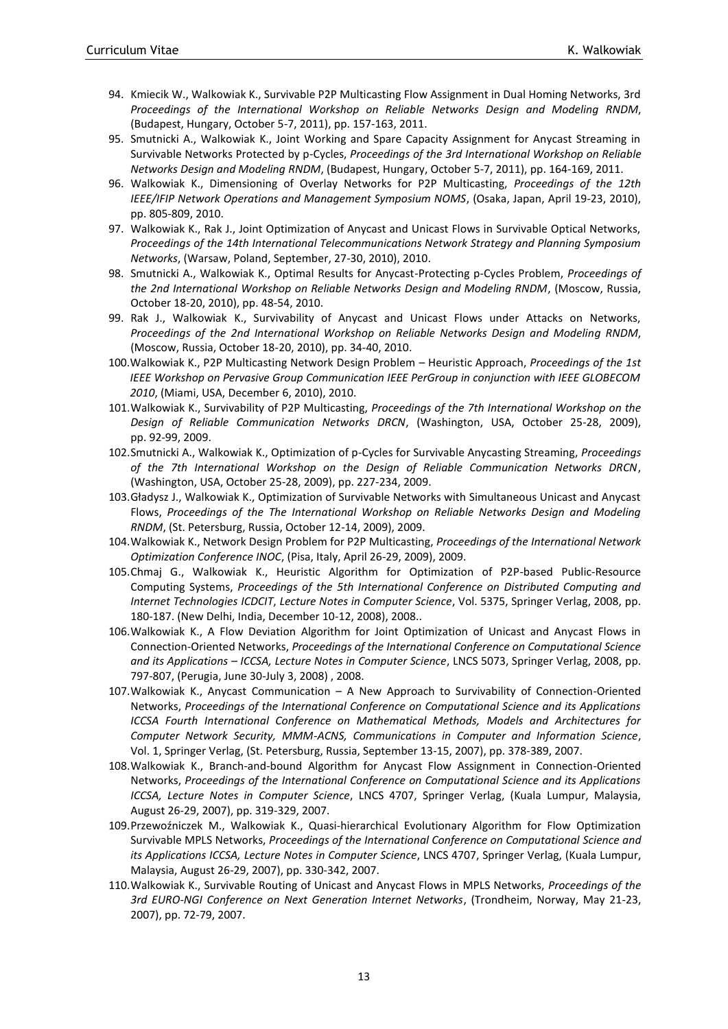- 94. Kmiecik W., Walkowiak K., Survivable P2P Multicasting Flow Assignment in Dual Homing Networks, 3rd *Proceedings of the International Workshop on Reliable Networks Design and Modeling RNDM*, (Budapest, Hungary, October 5-7, 2011), pp. 157-163, 2011.
- 95. Smutnicki A., Walkowiak K., Joint Working and Spare Capacity Assignment for Anycast Streaming in Survivable Networks Protected by p-Cycles, *Proceedings of the 3rd International Workshop on Reliable Networks Design and Modeling RNDM*, (Budapest, Hungary, October 5-7, 2011), pp. 164-169, 2011.
- 96. Walkowiak K., Dimensioning of Overlay Networks for P2P Multicasting, *Proceedings of the 12th IEEE/IFIP Network Operations and Management Symposium NOMS*, (Osaka, Japan, April 19-23, 2010), pp. 805-809, 2010.
- 97. Walkowiak K., Rak J., Joint Optimization of Anycast and Unicast Flows in Survivable Optical Networks, *Proceedings of the 14th International Telecommunications Network Strategy and Planning Symposium Networks*, (Warsaw, Poland, September, 27-30, 2010), 2010.
- 98. Smutnicki A., Walkowiak K., Optimal Results for Anycast-Protecting p-Cycles Problem, *Proceedings of the 2nd International Workshop on Reliable Networks Design and Modeling RNDM*, (Moscow, Russia, October 18-20, 2010), pp. 48-54, 2010.
- 99. Rak J., Walkowiak K., Survivability of Anycast and Unicast Flows under Attacks on Networks, *Proceedings of the 2nd International Workshop on Reliable Networks Design and Modeling RNDM*, (Moscow, Russia, October 18-20, 2010), pp. 34-40, 2010.
- 100.Walkowiak K., P2P Multicasting Network Design Problem Heuristic Approach, *Proceedings of the 1st IEEE Workshop on Pervasive Group Communication IEEE PerGroup in conjunction with IEEE GLOBECOM 2010*, (Miami, USA, December 6, 2010), 2010.
- 101.Walkowiak K., Survivability of P2P Multicasting, *Proceedings of the 7th International Workshop on the Design of Reliable Communication Networks DRCN*, (Washington, USA, October 25-28, 2009), pp. 92-99, 2009.
- 102.Smutnicki A., Walkowiak K., Optimization of p-Cycles for Survivable Anycasting Streaming, *Proceedings of the 7th International Workshop on the Design of Reliable Communication Networks DRCN*, (Washington, USA, October 25-28, 2009), pp. 227-234, 2009.
- 103.Gładysz J., Walkowiak K., Optimization of Survivable Networks with Simultaneous Unicast and Anycast Flows, *Proceedings of the The International Workshop on Reliable Networks Design and Modeling RNDM*, (St. Petersburg, Russia, October 12-14, 2009), 2009.
- 104.Walkowiak K., Network Design Problem for P2P Multicasting, *Proceedings of the International Network Optimization Conference INOC*, (Pisa, Italy, April 26-29, 2009), 2009.
- 105.Chmaj G., Walkowiak K., Heuristic Algorithm for Optimization of P2P-based Public-Resource Computing Systems, *Proceedings of the 5th International Conference on Distributed Computing and Internet Technologies ICDCIT*, *Lecture Notes in Computer Science*, Vol. 5375, Springer Verlag, 2008, pp. 180-187. (New Delhi, India, December 10-12, 2008), 2008..
- 106.Walkowiak K., A Flow Deviation Algorithm for Joint Optimization of Unicast and Anycast Flows in Connection-Oriented Networks, *Proceedings of the International Conference on Computational Science and its Applications – ICCSA, Lecture Notes in Computer Science*, LNCS 5073, Springer Verlag, 2008, pp. 797-807, (Perugia, June 30-July 3, 2008) , 2008.
- 107.Walkowiak K., Anycast Communication A New Approach to Survivability of Connection-Oriented Networks, *Proceedings of the International Conference on Computational Science and its Applications ICCSA Fourth International Conference on Mathematical Methods, Models and Architectures for Computer Network Security, MMM-ACNS, Communications in Computer and Information Science*, Vol. 1, Springer Verlag, (St. Petersburg, Russia, September 13-15, 2007), pp. 378-389, 2007.
- 108.Walkowiak K., Branch-and-bound Algorithm for Anycast Flow Assignment in Connection-Oriented Networks, *Proceedings of the International Conference on Computational Science and its Applications ICCSA, Lecture Notes in Computer Science*, LNCS 4707, Springer Verlag, (Kuala Lumpur, Malaysia, August 26-29, 2007), pp. 319-329, 2007.
- 109.Przewoźniczek M.' Walkowiak K., Quasi-hierarchical Evolutionary Algorithm for Flow Optimization Survivable MPLS Networks, *Proceedings of the International Conference on Computational Science and its Applications ICCSA, Lecture Notes in Computer Science*, LNCS 4707, Springer Verlag, (Kuala Lumpur, Malaysia, August 26-29, 2007), pp. 330-342, 2007.
- 110.Walkowiak K., Survivable Routing of Unicast and Anycast Flows in MPLS Networks, *Proceedings of the 3rd EURO-NGI Conference on Next Generation Internet Networks*, (Trondheim, Norway, May 21-23, 2007), pp. 72-79, 2007.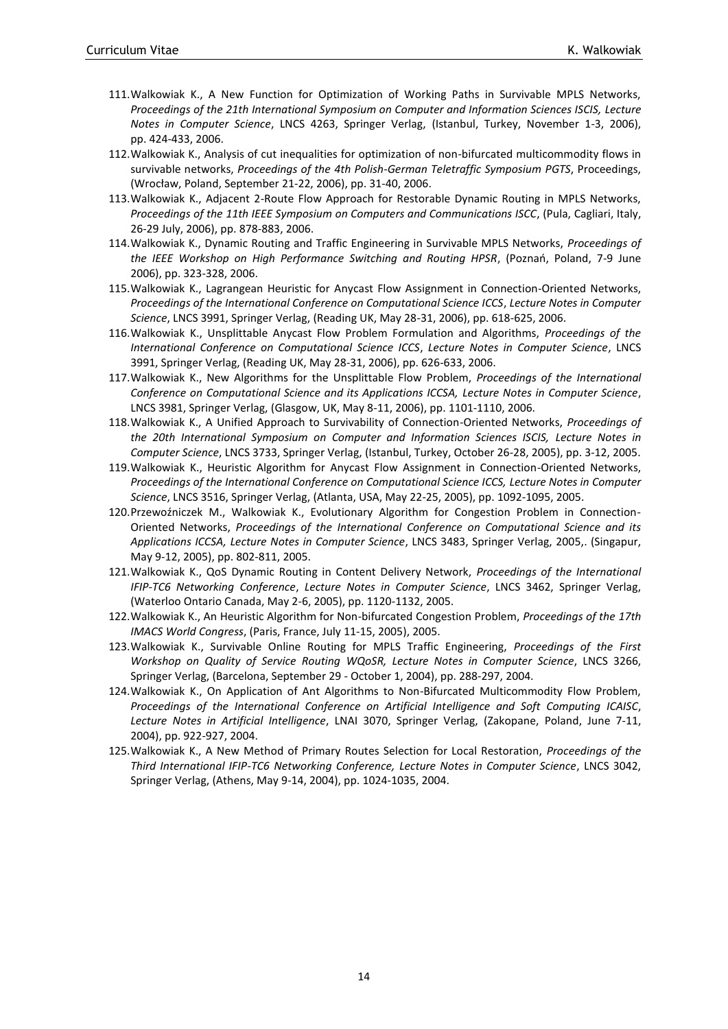- 111.Walkowiak K., A New Function for Optimization of Working Paths in Survivable MPLS Networks, *Proceedings of the 21th International Symposium on Computer and Information Sciences ISCIS, Lecture Notes in Computer Science*, LNCS 4263, Springer Verlag, (Istanbul, Turkey, November 1-3, 2006), pp. 424-433, 2006.
- 112.Walkowiak K., Analysis of cut inequalities for optimization of non-bifurcated multicommodity flows in survivable networks, *Proceedings of the 4th Polish-German Teletraffic Symposium PGTS*, Proceedings, (Wrocław, Poland, September 21-22, 2006), pp. 31-40, 2006.
- 113.Walkowiak K., Adjacent 2-Route Flow Approach for Restorable Dynamic Routing in MPLS Networks, *Proceedings of the 11th IEEE Symposium on Computers and Communications ISCC*, (Pula, Cagliari, Italy, 26-29 July, 2006), pp. 878-883, 2006.
- 114.Walkowiak K., Dynamic Routing and Traffic Engineering in Survivable MPLS Networks, *Proceedings of the IEEE Workshop on High Performance Switching and Routing HPSR*, (Poznań, Poland, 7-9 June 2006), pp. 323-328, 2006.
- 115.Walkowiak K., Lagrangean Heuristic for Anycast Flow Assignment in Connection-Oriented Networks, *Proceedings of the International Conference on Computational Science ICCS*, *Lecture Notes in Computer Science*, LNCS 3991, Springer Verlag, (Reading UK, May 28-31, 2006), pp. 618-625, 2006.
- 116.Walkowiak K., Unsplittable Anycast Flow Problem Formulation and Algorithms, *Proceedings of the International Conference on Computational Science ICCS*, *Lecture Notes in Computer Science*, LNCS 3991, Springer Verlag, (Reading UK, May 28-31, 2006), pp. 626-633, 2006.
- 117.Walkowiak K., New Algorithms for the Unsplittable Flow Problem, *Proceedings of the International Conference on Computational Science and its Applications ICCSA, Lecture Notes in Computer Science*, LNCS 3981, Springer Verlag, (Glasgow, UK, May 8-11, 2006), pp. 1101-1110, 2006.
- 118.Walkowiak K., A Unified Approach to Survivability of Connection-Oriented Networks, *Proceedings of the 20th International Symposium on Computer and Information Sciences ISCIS, Lecture Notes in Computer Science*, LNCS 3733, Springer Verlag, (Istanbul, Turkey, October 26-28, 2005), pp. 3-12, 2005.
- 119.Walkowiak K., Heuristic Algorithm for Anycast Flow Assignment in Connection-Oriented Networks, *Proceedings of the International Conference on Computational Science ICCS, Lecture Notes in Computer Science*, LNCS 3516, Springer Verlag, (Atlanta, USA, May 22-25, 2005), pp. 1092-1095, 2005.
- 120.Przewoźniczek M., Walkowiak K., Evolutionary Algorithm for Congestion Problem in Connection-Oriented Networks, *Proceedings of the International Conference on Computational Science and its Applications ICCSA, Lecture Notes in Computer Science*, LNCS 3483, Springer Verlag, 2005,. (Singapur, May 9-12, 2005), pp. 802-811, 2005.
- 121.Walkowiak K., QoS Dynamic Routing in Content Delivery Network, *Proceedings of the International IFIP-TC6 Networking Conference*, *Lecture Notes in Computer Science*, LNCS 3462, Springer Verlag, (Waterloo Ontario Canada, May 2-6, 2005), pp. 1120-1132, 2005.
- 122.Walkowiak K., An Heuristic Algorithm for Non-bifurcated Congestion Problem, *Proceedings of the 17th IMACS World Congress*, (Paris, France, July 11-15, 2005), 2005.
- 123.Walkowiak K., Survivable Online Routing for MPLS Traffic Engineering, *Proceedings of the First Workshop on Quality of Service Routing WQoSR, Lecture Notes in Computer Science*, LNCS 3266, Springer Verlag, (Barcelona, September 29 - October 1, 2004), pp. 288-297, 2004.
- 124.Walkowiak K., On Application of Ant Algorithms to Non-Bifurcated Multicommodity Flow Problem, *Proceedings of the International Conference on Artificial Intelligence and Soft Computing ICAISC*, *Lecture Notes in Artificial Intelligence*, LNAI 3070, Springer Verlag, (Zakopane, Poland, June 7-11, 2004), pp. 922-927, 2004.
- 125.Walkowiak K., A New Method of Primary Routes Selection for Local Restoration, *Proceedings of the Third International IFIP-TC6 Networking Conference, Lecture Notes in Computer Science*, LNCS 3042, Springer Verlag, (Athens, May 9-14, 2004), pp. 1024-1035, 2004.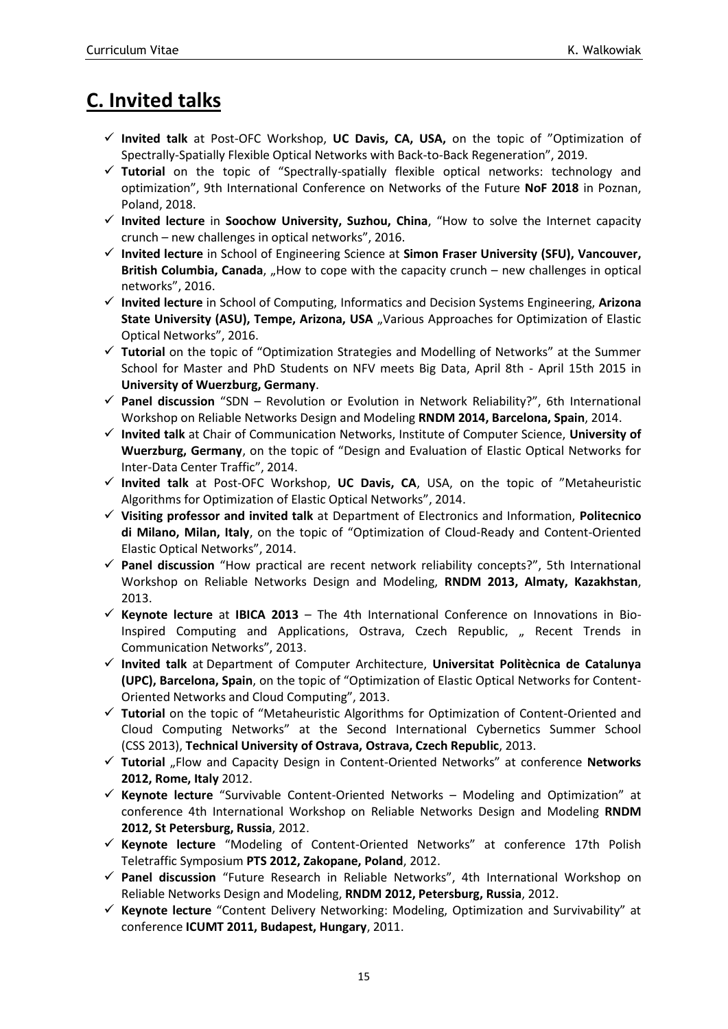# <span id="page-14-0"></span>**C. Invited talks**

- ✓ **Invited talk** at Post-OFC Workshop, **UC Davis, CA, USA,** on the topic of "Optimization of Spectrally-Spatially Flexible Optical Networks with Back-to-Back Regeneration", 2019.
- ✓ **Tutorial** on the topic of "Spectrally-spatially flexible optical networks: technology and optimization", 9th International Conference on Networks of the Future **NoF 2018** in Poznan, Poland, 2018.
- ✓ **Invited lecture** in **Soochow University, Suzhou, China**, "How to solve the Internet capacity crunch – new challenges in optical networks", 2016.
- ✓ **Invited lecture** in School of Engineering Science at **Simon Fraser University (SFU), Vancouver, British Columbia, Canada**, "How to cope with the capacity crunch – new challenges in optical networks", 2016.
- ✓ **Invited lecture** in School of Computing, Informatics and Decision Systems Engineering, **Arizona**  State University (ASU), Tempe, Arizona, USA "Various Approaches for Optimization of Elastic Optical Networks", 2016.
- ✓ **Tutorial** on the topic of "Optimization Strategies and Modelling of Networks" at the Summer School for Master and PhD Students on NFV meets Big Data, April 8th - April 15th 2015 in **University of Wuerzburg, Germany**.
- ✓ **Panel discussion** "SDN Revolution or Evolution in Network Reliability?", 6th International Workshop on Reliable Networks Design and Modeling **RNDM 2014, Barcelona, Spain**, 2014.
- ✓ **Invited talk** at Chair of Communication Networks, Institute of Computer Science, **University of Wuerzburg, Germany**, on the topic of "Design and Evaluation of Elastic Optical Networks for Inter-Data Center Traffic", 2014.
- ✓ **Invited talk** at Post-OFC Workshop, **UC Davis, CA**, USA, on the topic of "Metaheuristic Algorithms for Optimization of Elastic Optical Networks", 2014.
- ✓ **Visiting professor and invited talk** at Department of Electronics and Information, **Politecnico di Milano, Milan, Italy**, on the topic of "Optimization of Cloud-Ready and Content-Oriented Elastic Optical Networks", 2014.
- ✓ **Panel discussion** "How practical are recent network reliability concepts?", 5th International Workshop on Reliable Networks Design and Modeling, **RNDM 2013, Almaty, Kazakhstan**, 2013.
- ✓ **Keynote lecture** at **IBICA 2013** The 4th International Conference on Innovations in Bio-Inspired Computing and Applications, Ostrava, Czech Republic, "Recent Trends in Communication Networks", 2013.
- ✓ **Invited talk** at Department of Computer Architecture, **Universitat Politècnica de Catalunya (UPC), Barcelona, Spain**, on the topic of "Optimization of Elastic Optical Networks for Content-Oriented Networks and Cloud Computing", 2013.
- ✓ **Tutorial** on the topic of "Metaheuristic Algorithms for Optimization of Content-Oriented and Cloud Computing Networks" at the Second International Cybernetics Summer School (CSS 2013), **Technical University of Ostrava, Ostrava, Czech Republic**, 2013.
- ✓ **Tutorial** "Flow and Capacity Design in Content-Oriented Networks" at conference **Networks 2012, Rome, Italy** 2012.
- ✓ **Keynote lecture** "Survivable Content-Oriented Networks Modeling and Optimization" at conference 4th International Workshop on Reliable Networks Design and Modeling **RNDM 2012, St Petersburg, Russia**, 2012.
- ✓ **Keynote lecture** "Modeling of Content-Oriented Networks" at conference 17th Polish Teletraffic Symposium **PTS 2012, Zakopane, Poland**, 2012.
- ✓ **Panel discussion** "Future Research in Reliable Networks", 4th International Workshop on Reliable Networks Design and Modeling, **RNDM 2012, Petersburg, Russia**, 2012.
- ✓ **Keynote lecture** "Content Delivery Networking: Modeling, Optimization and Survivability" at conference **ICUMT 2011, Budapest, Hungary**, 2011.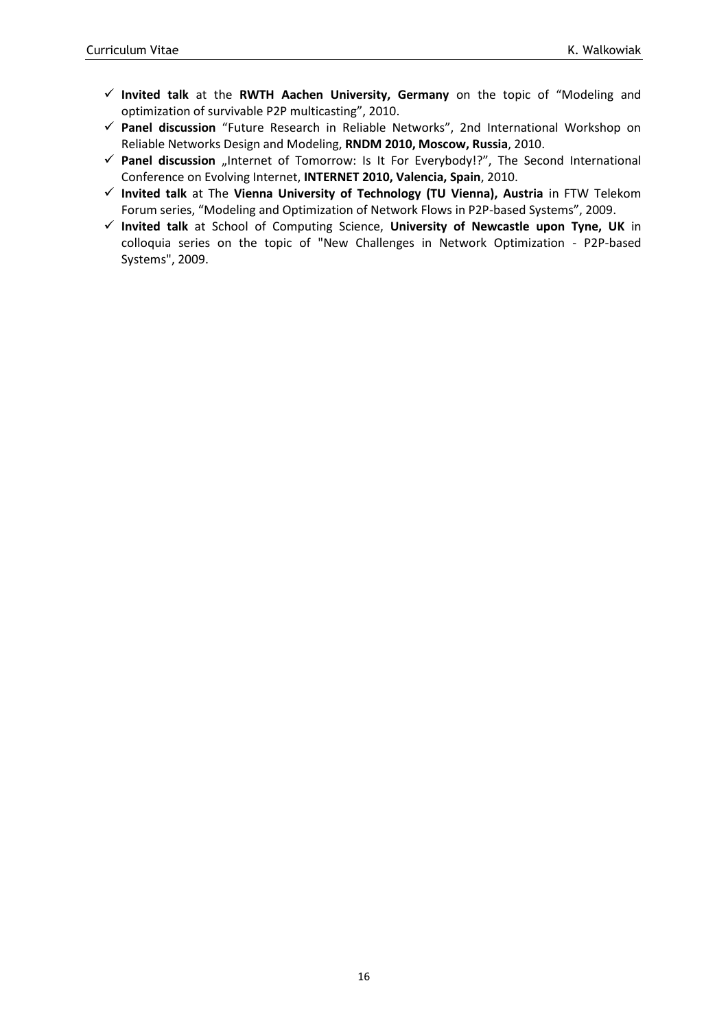- ✓ **Invited talk** at the **RWTH Aachen University, Germany** on the topic of "Modeling and optimization of survivable P2P multicasting", 2010.
- ✓ **Panel discussion** "Future Research in Reliable Networks", 2nd International Workshop on Reliable Networks Design and Modeling, **RNDM 2010, Moscow, Russia**, 2010.
- ✓ **Panel discussion** "Internet of Tomorrow: Is It For Everybody!?", The Second International Conference on Evolving Internet, **INTERNET 2010, Valencia, Spain**, 2010.
- ✓ **Invited talk** at The **Vienna University of Technology (TU Vienna), Austria** in FTW Telekom Forum series, "Modeling and Optimization of Network Flows in P2P-based Systems", 2009.
- ✓ **Invited talk** at School of Computing Science, **University of Newcastle upon Tyne, UK** in colloquia series on the topic of "New Challenges in Network Optimization - P2P-based Systems", 2009.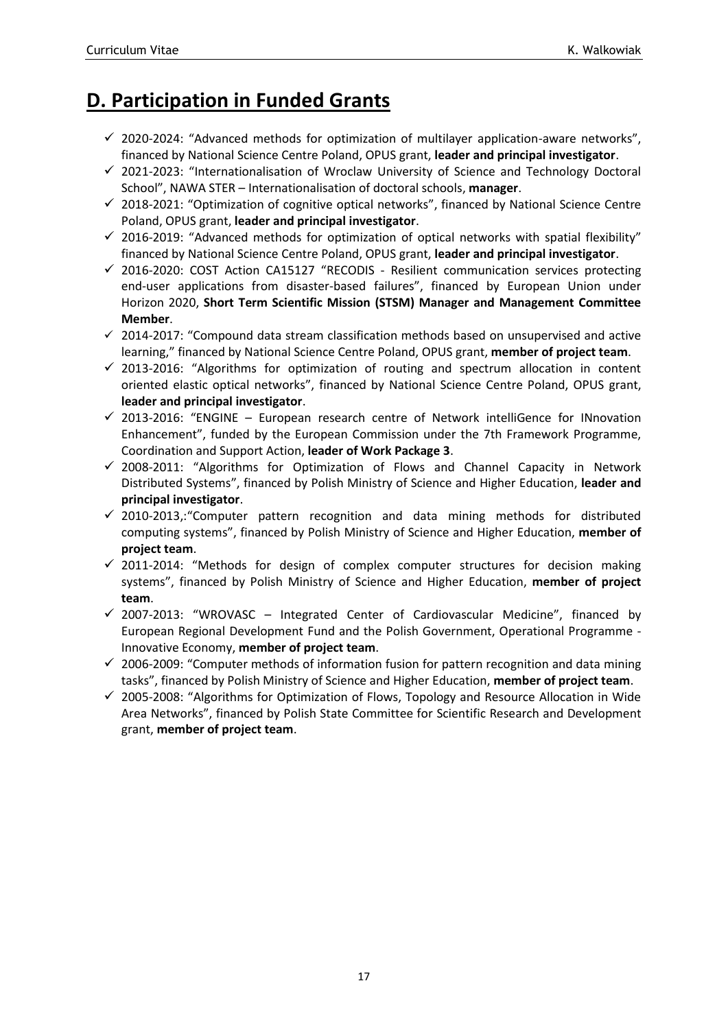## <span id="page-16-0"></span>**D. Participation in Funded Grants**

- $\checkmark$  2020-2024: "Advanced methods for optimization of multilayer application-aware networks", financed by National Science Centre Poland, OPUS grant, **leader and principal investigator**.
- ✓ 2021-2023: "Internationalisation of Wroclaw University of Science and Technology Doctoral School", NAWA STER – Internationalisation of doctoral schools, **manager**.
- $\checkmark$  2018-2021: "Optimization of cognitive optical networks", financed by National Science Centre Poland, OPUS grant, **leader and principal investigator**.
- $\checkmark$  2016-2019: "Advanced methods for optimization of optical networks with spatial flexibility" financed by National Science Centre Poland, OPUS grant, **leader and principal investigator**.
- $\checkmark$  2016-2020: COST Action CA15127 "RECODIS Resilient communication services protecting end-user applications from disaster-based failures", financed by European Union under Horizon 2020, **Short Term Scientific Mission (STSM) Manager and Management Committee Member**.
- $\checkmark$  2014-2017: "Compound data stream classification methods based on unsupervised and active learning," financed by National Science Centre Poland, OPUS grant, **member of project team**.
- $\checkmark$  2013-2016: "Algorithms for optimization of routing and spectrum allocation in content oriented elastic optical networks", financed by National Science Centre Poland, OPUS grant, **leader and principal investigator**.
- $\checkmark$  2013-2016: "ENGINE European research centre of Network intelliGence for INnovation Enhancement", funded by the European Commission under the 7th Framework Programme, Coordination and Support Action, **leader of Work Package 3**.
- $\checkmark$  2008-2011: "Algorithms for Optimization of Flows and Channel Capacity in Network Distributed Systems", financed by Polish Ministry of Science and Higher Education, **leader and principal investigator**.
- ✓ 2010-2013,:"Computer pattern recognition and data mining methods for distributed computing systems", financed by Polish Ministry of Science and Higher Education, **member of project team**.
- $\checkmark$  2011-2014: "Methods for design of complex computer structures for decision making systems", financed by Polish Ministry of Science and Higher Education, **member of project team**.
- $\checkmark$  2007-2013: "WROVASC Integrated Center of Cardiovascular Medicine", financed by European Regional Development Fund and the Polish Government, Operational Programme - Innovative Economy, **member of project team**.
- $\checkmark$  2006-2009: "Computer methods of information fusion for pattern recognition and data mining tasks", financed by Polish Ministry of Science and Higher Education, **member of project team**.
- ✓ 2005-2008: "Algorithms for Optimization of Flows, Topology and Resource Allocation in Wide Area Networks", financed by Polish State Committee for Scientific Research and Development grant, **member of project team**.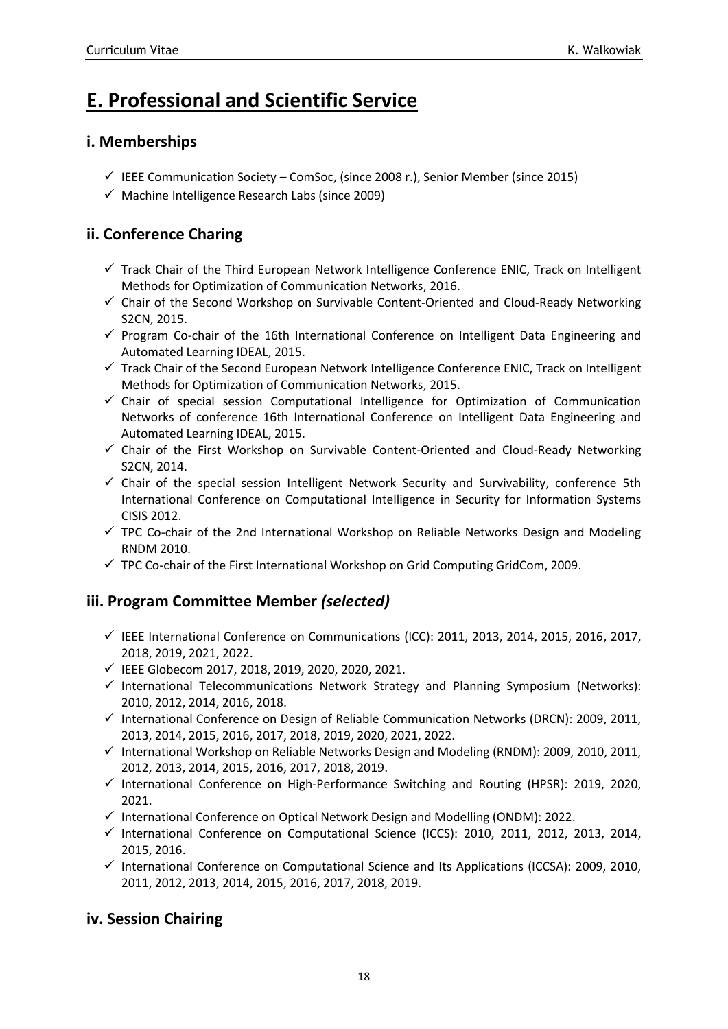# <span id="page-17-0"></span>**E. Professional and Scientific Service**

### <span id="page-17-1"></span>**i. Memberships**

- $\checkmark$  IEEE Communication Society ComSoc, (since 2008 r.), Senior Member (since 2015)
- $\checkmark$  Machine Intelligence Research Labs (since 2009)

### <span id="page-17-2"></span>**ii. Conference Charing**

- ✓ Track Chair of the Third European Network Intelligence Conference ENIC, Track on Intelligent Methods for Optimization of Communication Networks, 2016.
- ✓ Chair of the Second Workshop on Survivable Content-Oriented and Cloud-Ready Networking S2CN, 2015.
- ✓ Program Co-chair of the 16th International Conference on Intelligent Data Engineering and Automated Learning IDEAL, 2015.
- ✓ Track Chair of the Second European Network Intelligence Conference ENIC, Track on Intelligent Methods for Optimization of Communication Networks, 2015.
- ✓ Chair of special session Computational Intelligence for Optimization of Communication Networks of conference 16th International Conference on Intelligent Data Engineering and Automated Learning IDEAL, 2015.
- ✓ Chair of the First Workshop on Survivable Content-Oriented and Cloud-Ready Networking S2CN, 2014.
- ✓ Chair of the special session Intelligent Network Security and Survivability, conference 5th International Conference on Computational Intelligence in Security for Information Systems CISIS 2012.
- $\checkmark$  TPC Co-chair of the 2nd International Workshop on Reliable Networks Design and Modeling RNDM 2010.
- $\checkmark$  TPC Co-chair of the First International Workshop on Grid Computing GridCom, 2009.

### <span id="page-17-3"></span>**iii. Program Committee Member** *(selected)*

- $\checkmark$  IEEE International Conference on Communications (ICC): 2011, 2013, 2014, 2015, 2016, 2017, 2018, 2019, 2021, 2022.
- ✓ IEEE Globecom 2017, 2018, 2019, 2020, 2020, 2021.
- $\checkmark$  International Telecommunications Network Strategy and Planning Symposium (Networks): 2010, 2012, 2014, 2016, 2018.
- ✓ International Conference on Design of Reliable Communication Networks (DRCN): 2009, 2011, 2013, 2014, 2015, 2016, 2017, 2018, 2019, 2020, 2021, 2022.
- $\checkmark$  International Workshop on Reliable Networks Design and Modeling (RNDM): 2009, 2010, 2011, 2012, 2013, 2014, 2015, 2016, 2017, 2018, 2019.
- $\checkmark$  International Conference on High-Performance Switching and Routing (HPSR): 2019, 2020, 2021.
- ✓ International Conference on Optical Network Design and Modelling (ONDM): 2022.
- ✓ International Conference on Computational Science (ICCS): 2010, 2011, 2012, 2013, 2014, 2015, 2016.
- ✓ International Conference on Computational Science and Its Applications (ICCSA): 2009, 2010, 2011, 2012, 2013, 2014, 2015, 2016, 2017, 2018, 2019.

#### <span id="page-17-4"></span>**iv. Session Chairing**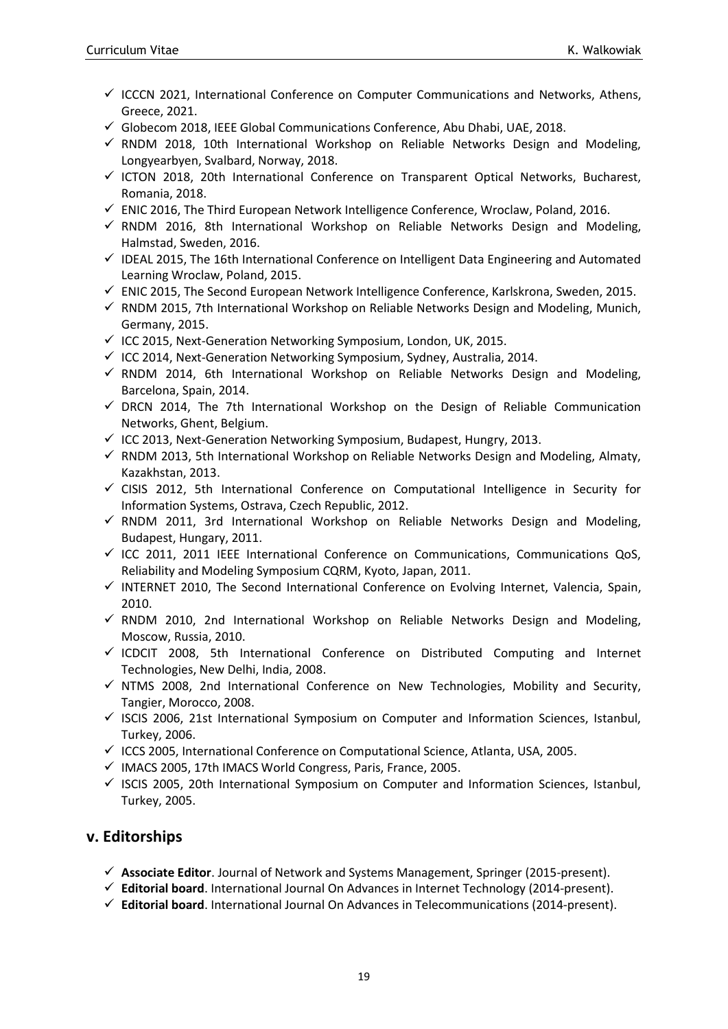- $\checkmark$  ICCCN 2021, International Conference on Computer Communications and Networks, Athens, Greece, 2021.
- $\checkmark$  Globecom 2018, IEEE Global Communications Conference, Abu Dhabi, UAE, 2018.
- $\checkmark$  RNDM 2018, 10th International Workshop on Reliable Networks Design and Modeling, Longyearbyen, Svalbard, Norway, 2018.
- $\checkmark$  ICTON 2018, 20th International Conference on Transparent Optical Networks, Bucharest, Romania, 2018.
- $\checkmark$  ENIC 2016, The Third European Network Intelligence Conference, Wroclaw, Poland, 2016.
- $\checkmark$  RNDM 2016, 8th International Workshop on Reliable Networks Design and Modeling, Halmstad, Sweden, 2016.
- ✓ IDEAL 2015, The 16th International Conference on Intelligent Data Engineering and Automated Learning Wroclaw, Poland, 2015.
- $\checkmark$  ENIC 2015, The Second European Network Intelligence Conference, Karlskrona, Sweden, 2015.
- $\checkmark$  RNDM 2015, 7th International Workshop on Reliable Networks Design and Modeling, Munich, Germany, 2015.
- $\checkmark$  ICC 2015, Next-Generation Networking Symposium, London, UK, 2015.
- $\checkmark$  ICC 2014, Next-Generation Networking Symposium, Sydney, Australia, 2014.
- $\checkmark$  RNDM 2014, 6th International Workshop on Reliable Networks Design and Modeling, Barcelona, Spain, 2014.
- $\checkmark$  DRCN 2014, The 7th International Workshop on the Design of Reliable Communication Networks, Ghent, Belgium.
- ✓ ICC 2013, Next-Generation Networking Symposium, Budapest, Hungry, 2013.
- $\checkmark$  RNDM 2013, 5th International Workshop on Reliable Networks Design and Modeling, Almaty, Kazakhstan, 2013.
- $\checkmark$  CISIS 2012, 5th International Conference on Computational Intelligence in Security for Information Systems, Ostrava, Czech Republic, 2012.
- ✓ RNDM 2011, 3rd International Workshop on Reliable Networks Design and Modeling, Budapest, Hungary, 2011.
- $\checkmark$  ICC 2011, 2011 IEEE International Conference on Communications, Communications QoS, Reliability and Modeling Symposium CQRM, Kyoto, Japan, 2011.
- ✓ INTERNET 2010, The Second International Conference on Evolving Internet, Valencia, Spain, 2010.
- ✓ RNDM 2010, 2nd International Workshop on Reliable Networks Design and Modeling, Moscow, Russia, 2010.
- $\checkmark$  ICDCIT 2008, 5th International Conference on Distributed Computing and Internet Technologies, New Delhi, India, 2008.
- $\checkmark$  NTMS 2008, 2nd International Conference on New Technologies, Mobility and Security, Tangier, Morocco, 2008.
- $\checkmark$  ISCIS 2006, 21st International Symposium on Computer and Information Sciences, Istanbul, Turkey, 2006.
- ✓ ICCS 2005, International Conference on Computational Science, Atlanta, USA, 2005.
- ✓ IMACS 2005, 17th IMACS World Congress, Paris, France, 2005.
- $\checkmark$  ISCIS 2005, 20th International Symposium on Computer and Information Sciences, Istanbul, Turkey, 2005.

#### <span id="page-18-0"></span>**v. Editorships**

- ✓ **Associate Editor**. Journal of Network and Systems Management, Springer (2015-present).
- ✓ **Editorial board**. International Journal On Advances in Internet Technology (2014-present).
- ✓ **Editorial board**. International Journal On Advances in Telecommunications (2014-present).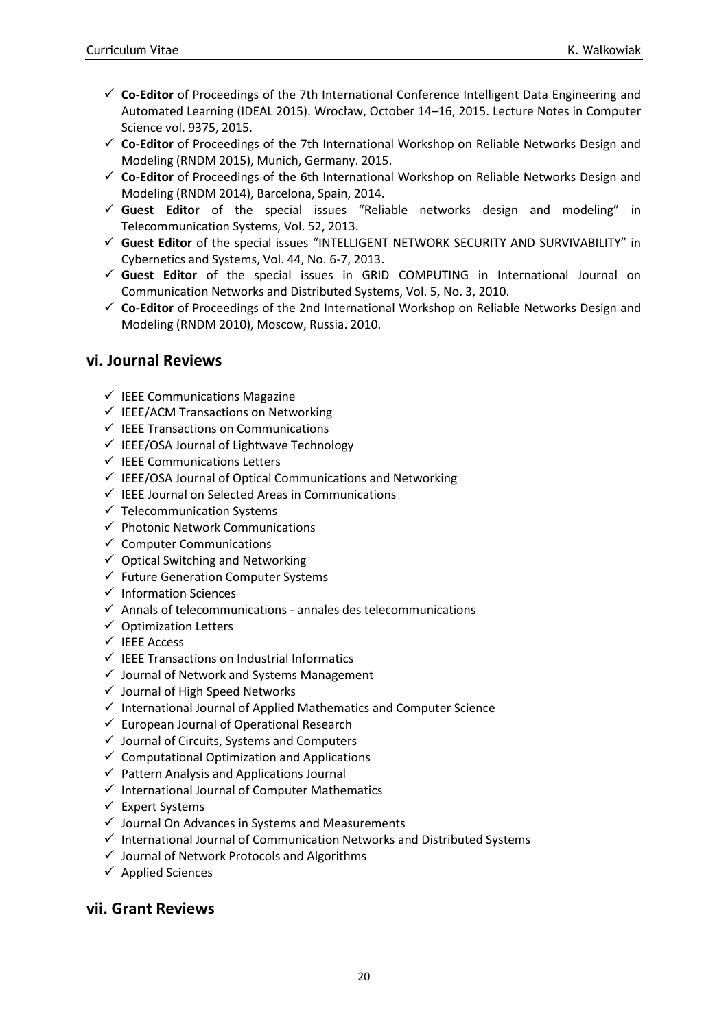- ✓ **Co-Editor** of Proceedings of the 7th International Conference Intelligent Data Engineering and Automated Learning (IDEAL 2015). Wrocław, October 14–16, 2015. Lecture Notes in Computer Science vol. 9375, 2015.
- ✓ **Co-Editor** of Proceedings of the 7th International Workshop on Reliable Networks Design and Modeling (RNDM 2015), Munich, Germany. 2015.
- ✓ **Co-Editor** of Proceedings of the 6th International Workshop on Reliable Networks Design and Modeling (RNDM 2014), Barcelona, Spain, 2014.
- ✓ **Guest Editor** of the special issues "Reliable networks design and modeling" in Telecommunication Systems, Vol. 52, 2013.
- ✓ **Guest Editor** of the special issues "INTELLIGENT NETWORK SECURITY AND SURVIVABILITY" in Cybernetics and Systems, Vol. 44, No. 6-7, 2013.
- ✓ **Guest Editor** of the special issues in GRID COMPUTING in International Journal on Communication Networks and Distributed Systems, Vol. 5, No. 3, 2010.
- ✓ **Co-Editor** of Proceedings of the 2nd International Workshop on Reliable Networks Design and Modeling (RNDM 2010), Moscow, Russia. 2010.

#### <span id="page-19-0"></span>**vi. Journal Reviews**

- $\checkmark$  IEEE Communications Magazine
- $\checkmark$  IEEE/ACM Transactions on Networking
- ✓ IEEE Transactions on Communications
- ✓ IEEE/OSA Journal of Lightwave Technology
- ✓ IEEE Communications Letters
- $\checkmark$  IEEE/OSA Journal of Optical Communications and Networking
- $\checkmark$  IEEE Journal on Selected Areas in Communications
- $\checkmark$  Telecommunication Systems
- $\checkmark$  Photonic Network Communications
- $\checkmark$  Computer Communications
- $\checkmark$  Optical Switching and Networking
- ✓ Future Generation Computer Systems
- ✓ Information Sciences
- $\checkmark$  Annals of telecommunications annales des telecommunications
- $\checkmark$  Optimization Letters
- ✓ IEEE Access
- ✓ IEEE Transactions on Industrial Informatics
- ✓ Journal of Network and Systems Management
- $\checkmark$  Journal of High Speed Networks
- $\checkmark$  International Journal of Applied Mathematics and Computer Science
- $\checkmark$  European Journal of Operational Research
- ✓ Journal of Circuits, Systems and Computers
- $\checkmark$  Computational Optimization and Applications
- $\checkmark$  Pattern Analysis and Applications Journal
- $\checkmark$  International Journal of Computer Mathematics
- ✓ Expert Systems
- ✓ Journal On Advances in Systems and Measurements
- ✓ International Journal of Communication Networks and Distributed Systems
- ✓ Journal of Network Protocols and Algorithms
- ✓ Applied Sciences

#### <span id="page-19-1"></span>**vii. Grant Reviews**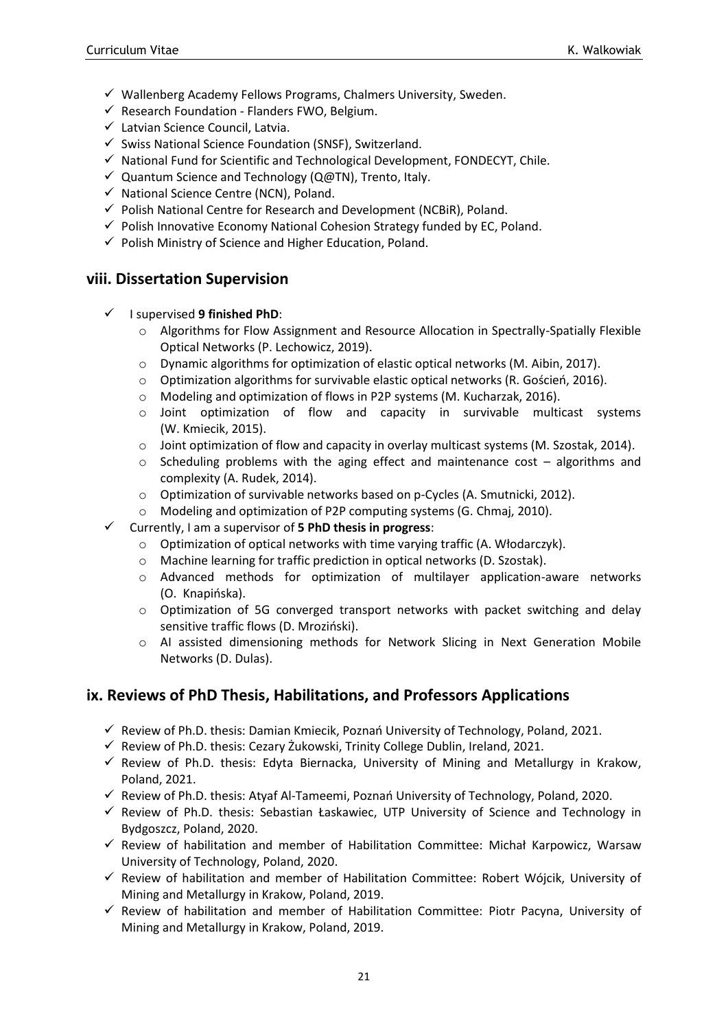- ✓ Wallenberg Academy Fellows Programs, Chalmers University, Sweden.
- $\checkmark$  Research Foundation Flanders FWO, Belgium.
- ✓ Latvian Science Council, Latvia.
- ✓ Swiss National Science Foundation (SNSF), Switzerland.
- $\checkmark$  National Fund for Scientific and Technological Development, FONDECYT, Chile.
- ✓ Quantum Science and Technology (Q@TN), Trento, Italy.
- ✓ National Science Centre (NCN), Poland.
- $\checkmark$  Polish National Centre for Research and Development (NCBiR), Poland.
- $\checkmark$  Polish Innovative Economy National Cohesion Strategy funded by EC, Poland.
- $\checkmark$  Polish Ministry of Science and Higher Education, Poland.

#### <span id="page-20-0"></span>**viii. Dissertation Supervision**

- ✓ I supervised **9 finished PhD**:
	- o Algorithms for Flow Assignment and Resource Allocation in Spectrally-Spatially Flexible Optical Networks (P. Lechowicz, 2019).
	- o Dynamic algorithms for optimization of elastic optical networks (M. Aibin, 2017).
	- $\circ$  Optimization algorithms for survivable elastic optical networks (R. Goścień, 2016).
	- o Modeling and optimization of flows in P2P systems (M. Kucharzak, 2016).
	- o Joint optimization of flow and capacity in survivable multicast systems (W. Kmiecik, 2015).
	- o Joint optimization of flow and capacity in overlay multicast systems (M. Szostak, 2014).
	- $\circ$  Scheduling problems with the aging effect and maintenance cost algorithms and complexity (A. Rudek, 2014).
	- o Optimization of survivable networks based on p-Cycles (A. Smutnicki, 2012).
	- o Modeling and optimization of P2P computing systems (G. Chmaj, 2010).
- ✓ Currently, I am a supervisor of **5 PhD thesis in progress**:
	- o Optimization of optical networks with time varying traffic (A. Włodarczyk).
	- o Machine learning for traffic prediction in optical networks (D. Szostak).
	- o Advanced methods for optimization of multilayer application-aware networks (O. Knapińska).
	- $\circ$  Optimization of 5G converged transport networks with packet switching and delay sensitive traffic flows (D. Mroziński).
	- o AI assisted dimensioning methods for Network Slicing in Next Generation Mobile Networks (D. Dulas).

#### <span id="page-20-1"></span>**ix. Reviews of PhD Thesis, Habilitations, and Professors Applications**

- $\checkmark$  Review of Ph.D. thesis: Damian Kmiecik, Poznań University of Technology, Poland, 2021.
- $\checkmark$  Review of Ph.D. thesis: Cezary Żukowski, Trinity College Dublin, Ireland, 2021.
- ✓ Review of Ph.D. thesis: Edyta Biernacka, University of Mining and Metallurgy in Krakow, Poland, 2021.
- $\checkmark$  Review of Ph.D. thesis: Atyaf Al-Tameemi, Poznań University of Technology, Poland, 2020.
- $\checkmark$  Review of Ph.D. thesis: Sebastian Łaskawiec, UTP University of Science and Technology in Bydgoszcz, Poland, 2020.
- ✓ Review of habilitation and member of Habilitation Committee: Michał Karpowicz, Warsaw University of Technology, Poland, 2020.
- ✓ Review of habilitation and member of Habilitation Committee: Robert Wójcik, University of Mining and Metallurgy in Krakow, Poland, 2019.
- ✓ Review of habilitation and member of Habilitation Committee: Piotr Pacyna, University of Mining and Metallurgy in Krakow, Poland, 2019.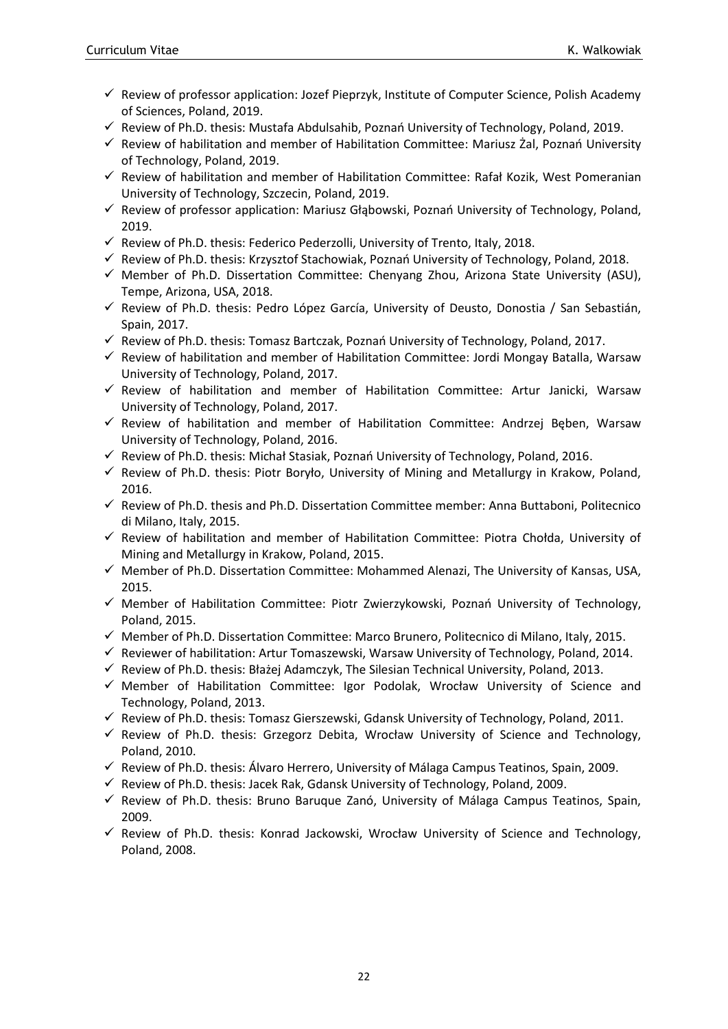- ✓ Review of professor application: Jozef Pieprzyk, Institute of Computer Science, Polish Academy of Sciences, Poland, 2019.
- $\checkmark$  Review of Ph.D. thesis: Mustafa Abdulsahib, Poznań University of Technology, Poland, 2019.
- ✓ Review of habilitation and member of Habilitation Committee: Mariusz Żal, Poznań University of Technology, Poland, 2019.
- ✓ Review of habilitation and member of Habilitation Committee: Rafał Kozik, West Pomeranian University of Technology, Szczecin, Poland, 2019.
- $\checkmark$  Review of professor application: Mariusz Głąbowski, Poznań University of Technology, Poland, 2019.
- $\checkmark$  Review of Ph.D. thesis: Federico Pederzolli, University of Trento, Italy, 2018.
- $\checkmark$  Review of Ph.D. thesis: Krzysztof Stachowiak, Poznań University of Technology, Poland, 2018.
- $\checkmark$  Member of Ph.D. Dissertation Committee: Chenyang Zhou, Arizona State University (ASU), Tempe, Arizona, USA, 2018.
- $\checkmark$  Review of Ph.D. thesis: Pedro López García, University of Deusto, Donostia / San Sebastián, Spain, 2017.
- $\checkmark$  Review of Ph.D. thesis: Tomasz Bartczak, Poznań University of Technology, Poland, 2017.
- $\checkmark$  Review of habilitation and member of Habilitation Committee: Jordi Mongay Batalla, Warsaw University of Technology, Poland, 2017.
- ✓ Review of habilitation and member of Habilitation Committee: Artur Janicki, Warsaw University of Technology, Poland, 2017.
- ✓ Review of habilitation and member of Habilitation Committee: Andrzej Bęben, Warsaw University of Technology, Poland, 2016.
- $\checkmark$  Review of Ph.D. thesis: Michał Stasiak, Poznań University of Technology, Poland, 2016.
- $\checkmark$  Review of Ph.D. thesis: Piotr Boryło, University of Mining and Metallurgy in Krakow, Poland, 2016.
- $\checkmark$  Review of Ph.D. thesis and Ph.D. Dissertation Committee member: Anna Buttaboni, Politecnico di Milano, Italy, 2015.
- ✓ Review of habilitation and member of Habilitation Committee: Piotra Chołda, University of Mining and Metallurgy in Krakow, Poland, 2015.
- ✓ Member of Ph.D. Dissertation Committee: Mohammed Alenazi, The University of Kansas, USA, 2015.
- ✓ Member of Habilitation Committee: Piotr Zwierzykowski, Poznań University of Technology, Poland, 2015.
- ✓ Member of Ph.D. Dissertation Committee: Marco Brunero, Politecnico di Milano, Italy, 2015.
- $\checkmark$  Reviewer of habilitation: Artur Tomaszewski, Warsaw University of Technology, Poland, 2014.
- $\checkmark$  Review of Ph.D. thesis: Błażej Adamczyk, The Silesian Technical University, Poland, 2013.
- ✓ Member of Habilitation Committee: Igor Podolak, Wrocław University of Science and Technology, Poland, 2013.
- $\checkmark$  Review of Ph.D. thesis: Tomasz Gierszewski, Gdansk University of Technology, Poland, 2011.
- $\checkmark$  Review of Ph.D. thesis: Grzegorz Debita, Wrocław University of Science and Technology, Poland, 2010.
- $\checkmark$  Review of Ph.D. thesis: Álvaro Herrero, University of Málaga Campus Teatinos, Spain, 2009.
- $\checkmark$  Review of Ph.D. thesis: Jacek Rak, Gdansk University of Technology, Poland, 2009.
- ✓ Review of Ph.D. thesis: Bruno Baruque Zanó, University of Málaga Campus Teatinos, Spain, 2009.
- ✓ Review of Ph.D. thesis: Konrad Jackowski, Wrocław University of Science and Technology, Poland, 2008.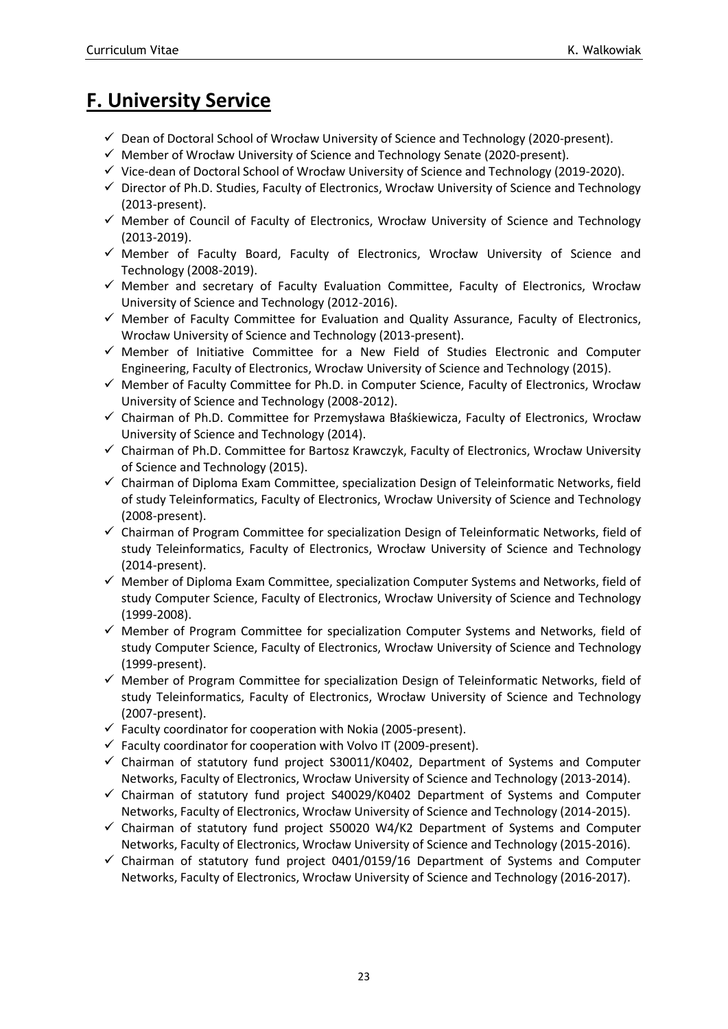# <span id="page-22-0"></span>**F. University Service**

- $\checkmark$  Dean of Doctoral School of Wrocław University of Science and Technology (2020-present).
- ✓ Member of Wrocław University of Science and Technology Senate (2020-present).
- $\checkmark$  Vice-dean of Doctoral School of Wrocław University of Science and Technology (2019-2020).
- ✓ Director of Ph.D. Studies, Faculty of Electronics, Wrocław University of Science and Technology (2013-present).
- $\checkmark$  Member of Council of Faculty of Electronics, Wrocław University of Science and Technology (2013-2019).
- ✓ Member of Faculty Board, Faculty of Electronics, Wrocław University of Science and Technology (2008-2019).
- ✓ Member and secretary of Faculty Evaluation Committee, Faculty of Electronics, Wrocław University of Science and Technology (2012-2016).
- ✓ Member of Faculty Committee for Evaluation and Quality Assurance, Faculty of Electronics, Wrocław University of Science and Technology (2013-present).
- ✓ Member of Initiative Committee for a New Field of Studies Electronic and Computer Engineering, Faculty of Electronics, Wrocław University of Science and Technology (2015).
- ✓ Member of Faculty Committee for Ph.D. in Computer Science, Faculty of Electronics, Wrocław University of Science and Technology (2008-2012).
- ✓ Chairman of Ph.D. Committee for Przemysława Błaśkiewicza, Faculty of Electronics, Wrocław University of Science and Technology (2014).
- ✓ Chairman of Ph.D. Committee for Bartosz Krawczyk, Faculty of Electronics, Wrocław University of Science and Technology (2015).
- ✓ Chairman of Diploma Exam Committee, specialization Design of Teleinformatic Networks, field of study Teleinformatics, Faculty of Electronics, Wrocław University of Science and Technology (2008-present).
- ✓ Chairman of Program Committee for specialization Design of Teleinformatic Networks, field of study Teleinformatics, Faculty of Electronics, Wrocław University of Science and Technology (2014-present).
- ✓ Member of Diploma Exam Committee, specialization Computer Systems and Networks, field of study Computer Science, Faculty of Electronics, Wrocław University of Science and Technology (1999-2008).
- $\checkmark$  Member of Program Committee for specialization Computer Systems and Networks, field of study Computer Science, Faculty of Electronics, Wrocław University of Science and Technology (1999-present).
- $\checkmark$  Member of Program Committee for specialization Design of Teleinformatic Networks, field of study Teleinformatics, Faculty of Electronics, Wrocław University of Science and Technology (2007-present).
- $\checkmark$  Faculty coordinator for cooperation with Nokia (2005-present).
- $\checkmark$  Faculty coordinator for cooperation with Volvo IT (2009-present).
- $\checkmark$  Chairman of statutory fund project S30011/K0402, Department of Systems and Computer Networks, Faculty of Electronics, Wrocław University of Science and Technology (2013-2014).
- $\checkmark$  Chairman of statutory fund project S40029/K0402 Department of Systems and Computer Networks, Faculty of Electronics, Wrocław University of Science and Technology (2014-2015).
- $\checkmark$  Chairman of statutory fund project S50020 W4/K2 Department of Systems and Computer Networks, Faculty of Electronics, Wrocław University of Science and Technology (2015-2016).
- $\checkmark$  Chairman of statutory fund project 0401/0159/16 Department of Systems and Computer Networks, Faculty of Electronics, Wrocław University of Science and Technology (2016-2017).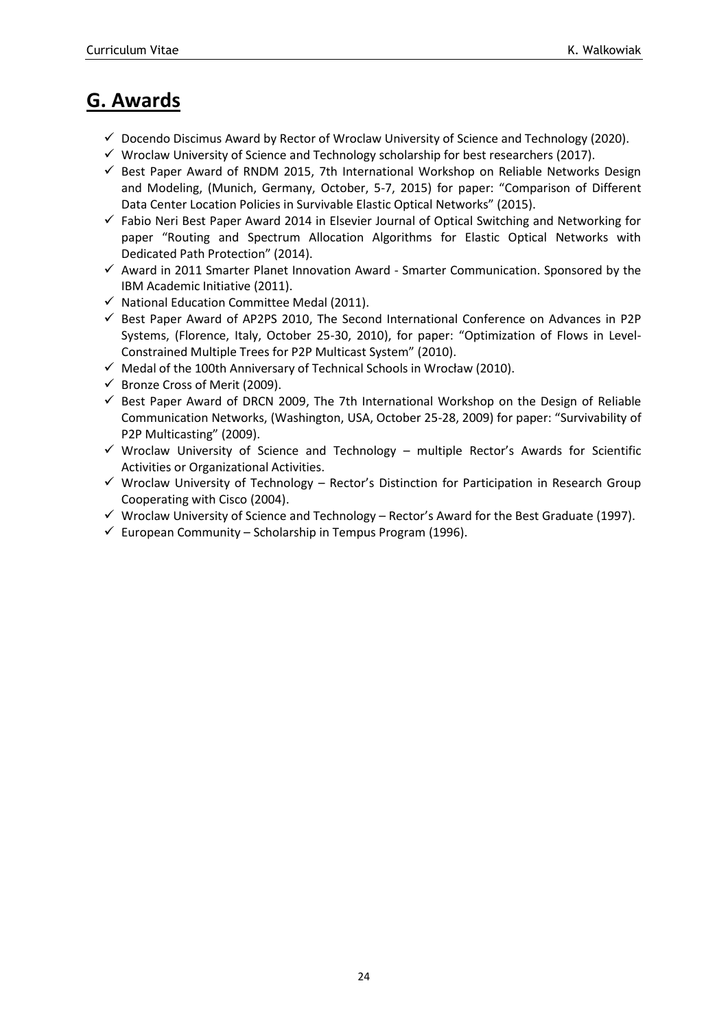## <span id="page-23-0"></span>**G. Awards**

- $\checkmark$  Docendo Discimus Award by Rector of Wroclaw University of Science and Technology (2020).
- $\checkmark$  Wroclaw University of Science and Technology scholarship for best researchers (2017).
- $\checkmark$  Best Paper Award of RNDM 2015, 7th International Workshop on Reliable Networks Design and Modeling, (Munich, Germany, October, 5-7, 2015) for paper: "Comparison of Different Data Center Location Policies in Survivable Elastic Optical Networks" (2015).
- ✓ Fabio Neri Best Paper Award 2014 in Elsevier Journal of Optical Switching and Networking for paper "Routing and Spectrum Allocation Algorithms for Elastic Optical Networks with Dedicated Path Protection" (2014).
- ✓ Award in 2011 Smarter Planet Innovation Award Smarter Communication. Sponsored by the IBM Academic Initiative (2011).
- ✓ National Education Committee Medal (2011).
- $\checkmark$  Best Paper Award of AP2PS 2010, The Second International Conference on Advances in P2P Systems, (Florence, Italy, October 25-30, 2010), for paper: "Optimization of Flows in Level-Constrained Multiple Trees for P2P Multicast System" (2010).
- ✓ Medal of the 100th Anniversary of Technical Schools in Wrocław (2010).
- $\checkmark$  Bronze Cross of Merit (2009).
- $\checkmark$  Best Paper Award of DRCN 2009, The 7th International Workshop on the Design of Reliable Communication Networks, (Washington, USA, October 25-28, 2009) for paper: "Survivability of P2P Multicasting" (2009).
- $\checkmark$  Wroclaw University of Science and Technology multiple Rector's Awards for Scientific Activities or Organizational Activities.
- $\checkmark$  Wroclaw University of Technology Rector's Distinction for Participation in Research Group Cooperating with Cisco (2004).
- $\checkmark$  Wroclaw University of Science and Technology Rector's Award for the Best Graduate (1997).
- $\checkmark$  European Community Scholarship in Tempus Program (1996).